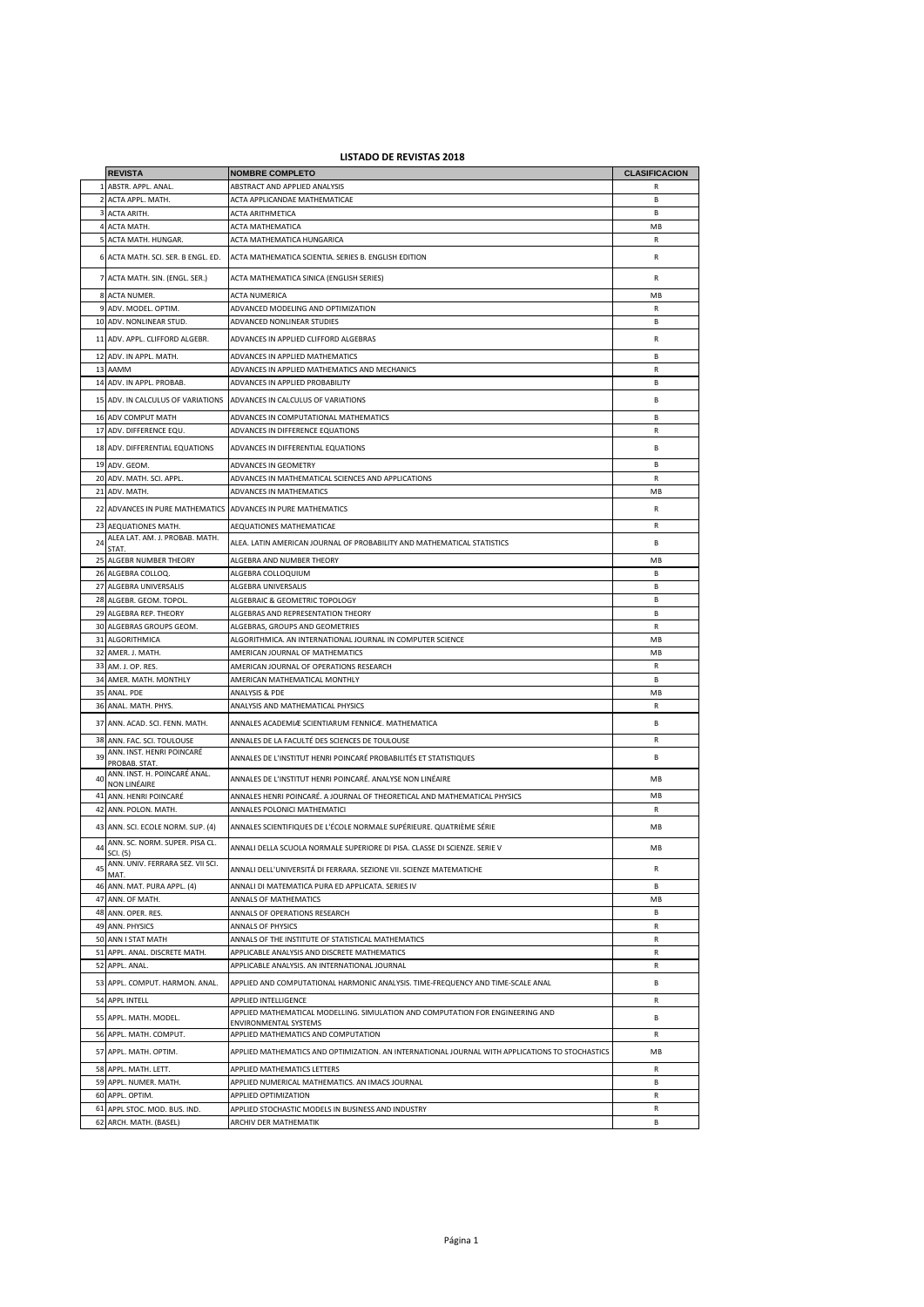## **LISTADO DE REVISTAS 2018**

|    | <b>REVISTA</b>                                         | <b>NOMBRE COMPLETO</b>                                                                                  | <b>CLASIFICACION</b> |
|----|--------------------------------------------------------|---------------------------------------------------------------------------------------------------------|----------------------|
|    | 1 ABSTR. APPL. ANAL.                                   | ABSTRACT AND APPLIED ANALYSIS                                                                           | R                    |
| 2  | ACTA APPL. MATH.                                       | ACTA APPLICANDAE MATHEMATICAE                                                                           | В                    |
| 3  | ACTA ARITH.                                            | ACTA ARITHMETICA                                                                                        | В                    |
|    | 4 ACTA MATH.                                           | ACTA MATHEMATICA                                                                                        | MB                   |
|    | 5 ACTA MATH. HUNGAR.                                   | ACTA MATHEMATICA HUNGARICA                                                                              | ${\sf R}$            |
|    | 6 ACTA MATH. SCI. SER. B ENGL. ED.                     | ACTA MATHEMATICA SCIENTIA. SERIES B. ENGLISH EDITION                                                    | R                    |
|    | 7 ACTA MATH. SIN. (ENGL. SER.)                         | ACTA MATHEMATICA SINICA (ENGLISH SERIES)                                                                | R                    |
|    | 8 ACTA NUMER.                                          | <b>ACTA NUMERICA</b>                                                                                    | MB                   |
|    | 9 ADV. MODEL. OPTIM.                                   | ADVANCED MODELING AND OPTIMIZATION                                                                      | R                    |
|    | 10 ADV. NONLINEAR STUD.                                | ADVANCED NONLINEAR STUDIES                                                                              | B                    |
|    | 11 ADV. APPL. CLIFFORD ALGEBR.                         | ADVANCES IN APPLIED CLIFFORD ALGEBRAS                                                                   | R                    |
|    | 12 ADV. IN APPL. MATH.                                 | ADVANCES IN APPLIED MATHEMATICS                                                                         | <b>B</b>             |
|    | 13 AAMM                                                | ADVANCES IN APPLIED MATHEMATICS AND MECHANICS                                                           | R                    |
|    | 14 ADV. IN APPL. PROBAB.                               | ADVANCES IN APPLIED PROBABILITY                                                                         | B                    |
|    | 15 ADV. IN CALCULUS OF VARIATIONS                      | ADVANCES IN CALCULUS OF VARIATIONS                                                                      | В                    |
|    | 16 ADV COMPUT MATH                                     | ADVANCES IN COMPUTATIONAL MATHEMATICS                                                                   | B                    |
|    | 17 ADV. DIFFERENCE EQU.                                | ADVANCES IN DIFFERENCE EQUATIONS                                                                        | R                    |
|    | 18 ADV. DIFFERENTIAL EQUATIONS                         | ADVANCES IN DIFFERENTIAL EQUATIONS                                                                      | B                    |
|    | 19 ADV. GEOM.                                          | ADVANCES IN GEOMETRY                                                                                    | B                    |
|    | 20 ADV. MATH. SCI. APPL.                               | ADVANCES IN MATHEMATICAL SCIENCES AND APPLICATIONS                                                      | $\mathsf{R}$         |
|    | 21 ADV. MATH.                                          | ADVANCES IN MATHEMATICS                                                                                 | MB                   |
|    | 22 ADVANCES IN PURE MATHEMATICS                        | ADVANCES IN PURE MATHEMATICS                                                                            | R                    |
| 23 | <b>AEQUATIONES MATH.</b>                               | AEQUATIONES MATHEMATICAE                                                                                | R                    |
| 24 | ALEA LAT. AM. J. PROBAB. MATH.<br>STAT.                | ALEA. LATIN AMERICAN JOURNAL OF PROBABILITY AND MATHEMATICAL STATISTICS                                 | В                    |
|    | 25 ALGEBR NUMBER THEORY                                | ALGEBRA AND NUMBER THEORY                                                                               | MB                   |
|    | 26 ALGEBRA COLLOQ.                                     | ALGEBRA COLLOQUIUM                                                                                      | R.                   |
| 27 | <b>ALGEBRA UNIVERSALIS</b>                             | ALGEBRA UNIVERSALIS                                                                                     | R.                   |
|    | 28 ALGEBR. GEOM. TOPOL.                                | ALGEBRAIC & GEOMETRIC TOPOLOGY                                                                          | В                    |
|    | 29 ALGEBRA REP. THEORY                                 | ALGEBRAS AND REPRESENTATION THEORY                                                                      | B                    |
|    | 30 ALGEBRAS GROUPS GEOM.                               | ALGEBRAS, GROUPS AND GEOMETRIES                                                                         | R                    |
|    | 31 ALGORITHMICA                                        | ALGORITHMICA. AN INTERNATIONAL JOURNAL IN COMPUTER SCIENCE                                              | MB                   |
|    | 32 AMER. J. MATH.                                      | AMERICAN JOURNAL OF MATHEMATICS                                                                         | MB                   |
|    | 33 AM. J. OP. RES.                                     |                                                                                                         | R                    |
|    |                                                        | AMERICAN JOURNAL OF OPERATIONS RESEARCH                                                                 |                      |
| 34 | AMER. MATH. MONTHLY                                    | AMERICAN MATHEMATICAL MONTHLY                                                                           | В                    |
| 35 | ANAL. PDE                                              | ANALYSIS & PDE                                                                                          | MB<br>${\sf R}$      |
|    | 36 ANAL. MATH. PHYS.<br>37 ANN. ACAD. SCI. FENN. MATH. | ANALYSIS AND MATHEMATICAL PHYSICS<br>ANNALES ACADEMIÆ SCIENTIARUM FENNICÆ. MATHEMATICA                  | В                    |
|    |                                                        |                                                                                                         |                      |
| 38 | ANN. FAC. SCI. TOULOUSE<br>ANN. INST. HENRI POINCARÉ   | ANNALES DE LA FACULTÉ DES SCIENCES DE TOULOUSE                                                          | R                    |
| 39 | PROBAB. STAT.<br>ANN. INST. H. POINCARÉ ANAL.          | ANNALES DE L'INSTITUT HENRI POINCARÉ PROBABILITÉS ET STATISTIQUES                                       | В                    |
| 40 | NON LINÉAIRE                                           | ANNALES DE L'INSTITUT HENRI POINCARÉ. ANALYSE NON LINÉAIRE                                              | MB                   |
| 41 | ANN. HENRI POINCARÉ                                    | ANNALES HENRI POINCARÉ. A JOURNAL OF THEORETICAL AND MATHEMATICAL PHYSICS                               | MB                   |
|    | 42 ANN. POLON. MATH.                                   | ANNALES POLONICI MATHEMATICI                                                                            | R                    |
|    | 43 ANN. SCI. ECOLE NORM. SUP. (4)                      | ANNALES SCIENTIFIQUES DE L'ÉCOLE NORMALE SUPÉRIEURE. QUATRIÈME SÉRIE                                    | MB                   |
| 44 | ANN. SC. NORM. SUPER. PISA CL.<br>SCI. (5)             | ANNALI DELLA SCUOLA NORMALE SUPERIORE DI PISA. CLASSE DI SCIENZE. SERIE V                               | MB                   |
| 45 | ANN. UNIV. FERRARA SEZ. VII SCI.<br>MAT.               | ANNALI DELL'UNIVERSITA DI FERRARA. SEZIONE VII. SCIENZE MATEMATICHE                                     | ${\sf R}$            |
|    | 46 ANN. MAT. PURA APPL. (4)                            | ANNALI DI MATEMATICA PURA ED APPLICATA. SERIES IV                                                       | В                    |
|    | 47 ANN, OF MATH.                                       | ANNALS OF MATHEMATICS                                                                                   | <b>MB</b>            |
| 48 | ANN. OPER. RES.                                        | ANNALS OF OPERATIONS RESEARCH                                                                           | B.                   |
| 49 | ANN. PHYSICS                                           | <b>ANNALS OF PHYSICS</b>                                                                                | $\mathsf R$          |
|    | 50 ANN I STAT MATH                                     | ANNALS OF THE INSTITUTE OF STATISTICAL MATHEMATICS                                                      | ${\sf R}$            |
|    | 51 APPL. ANAL. DISCRETE MATH.                          | APPLICABLE ANALYSIS AND DISCRETE MATHEMATICS                                                            | R                    |
|    | 52 APPL. ANAL.                                         | APPLICABLE ANALYSIS. AN INTERNATIONAL JOURNAL                                                           | R                    |
|    | 53 APPL. COMPUT. HARMON. ANAL.                         | APPLIED AND COMPUTATIONAL HARMONIC ANALYSIS. TIME-FREQUENCY AND TIME-SCALE ANAL                         | В                    |
|    | 54 APPL INTELL                                         | APPLIED INTELLIGENCE                                                                                    | R                    |
|    | 55 APPL. MATH. MODEL.                                  | APPLIED MATHEMATICAL MODELLING. SIMULATION AND COMPUTATION FOR ENGINEERING AND<br>ENVIRONMENTAL SYSTEMS | В                    |
|    | 56 APPL. MATH. COMPUT.                                 | APPLIED MATHEMATICS AND COMPUTATION                                                                     | R                    |
|    | 57 APPL. MATH. OPTIM.                                  | APPLIED MATHEMATICS AND OPTIMIZATION. AN INTERNATIONAL JOURNAL WITH APPLICATIONS TO STOCHASTICS         | MB                   |
|    | 58 APPL. MATH. LETT.                                   | APPLIED MATHEMATICS LETTERS                                                                             | R                    |
|    | 59 APPL. NUMER. MATH.                                  | APPLIED NUMERICAL MATHEMATICS. AN IMACS JOURNAL                                                         | В                    |
|    | 60 APPL. OPTIM.                                        | APPLIED OPTIMIZATION                                                                                    | R                    |
|    | 61 APPL STOC. MOD. BUS. IND.                           | APPLIED STOCHASTIC MODELS IN BUSINESS AND INDUSTRY                                                      | R                    |
| 62 | ARCH. MATH. (BASEL)                                    | ARCHIV DER MATHEMATIK                                                                                   | B                    |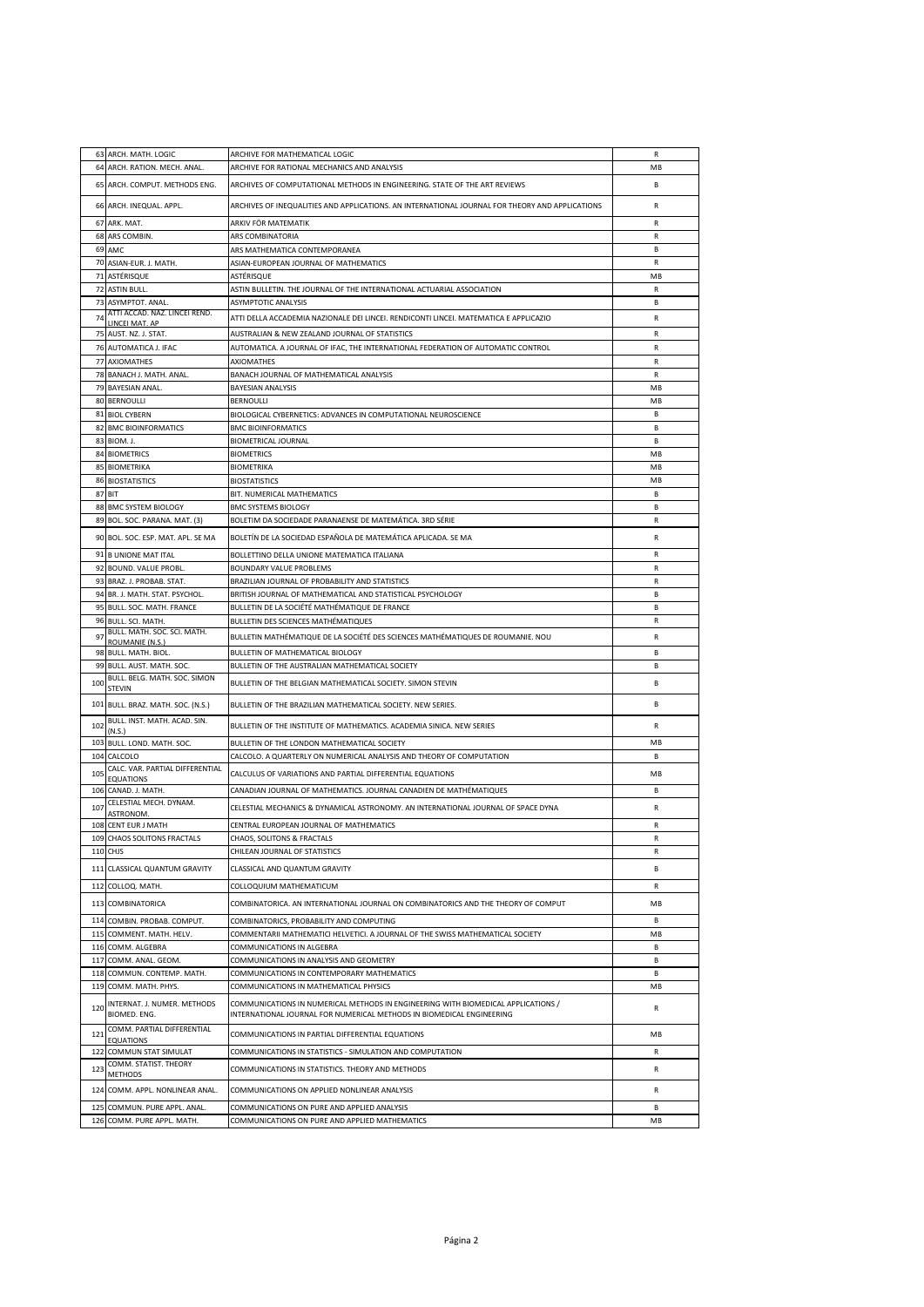|            | 63 ARCH. MATH. LOGIC                               | ARCHIVE FOR MATHEMATICAL LOGIC                                                                                                                             | R            |
|------------|----------------------------------------------------|------------------------------------------------------------------------------------------------------------------------------------------------------------|--------------|
|            | 64 ARCH. RATION. MECH. ANAL.                       | ARCHIVE FOR RATIONAL MECHANICS AND ANALYSIS                                                                                                                | MB           |
|            | 65 ARCH. COMPUT. METHODS ENG.                      | ARCHIVES OF COMPUTATIONAL METHODS IN ENGINEERING. STATE OF THE ART REVIEWS                                                                                 | R.           |
|            |                                                    |                                                                                                                                                            |              |
|            | 66 ARCH. INEQUAL. APPL.                            | ARCHIVES OF INEQUALITIES AND APPLICATIONS. AN INTERNATIONAL JOURNAL FOR THEORY AND APPLICATIONS                                                            | R            |
| 67         | ARK. MAT.                                          | ARKIV FÖR MATEMATIK                                                                                                                                        | $\mathsf{R}$ |
|            | 68 ARS COMBIN.                                     | ARS COMBINATORIA                                                                                                                                           | R            |
|            | 69 AMC                                             | ARS MATHEMATICA CONTEMPORANEA                                                                                                                              | R.           |
|            | 70 ASIAN-EUR. J. MATH.                             | ASIAN-EUROPEAN JOURNAL OF MATHEMATICS                                                                                                                      | R            |
|            | 71 ASTÉRISQUE                                      | ASTÉRISQUE                                                                                                                                                 | MB           |
|            | 72 ASTIN BULL.                                     | ASTIN BULLETIN. THE JOURNAL OF THE INTERNATIONAL ACTUARIAL ASSOCIATION                                                                                     | $\mathsf{R}$ |
|            | 73 ASYMPTOT. ANAL.                                 | ASYMPTOTIC ANALYSIS                                                                                                                                        | R.           |
| 74         | ATTI ACCAD, NAZ, LINCEI REND.<br>LINCELMAT, AP     | ATTI DELLA ACCADEMIA NAZIONALE DEI LINCEI. RENDICONTI LINCEI. MATEMATICA E APPLICAZIO                                                                      | R            |
|            | 75 AUST. NZ. J. STAT.                              | AUSTRALIAN & NEW ZEALAND JOURNAL OF STATISTICS                                                                                                             | R            |
|            | 76 AUTOMATICA J. IFAC                              | AUTOMATICA. A JOURNAL OF IFAC, THE INTERNATIONAL FEDERATION OF AUTOMATIC CONTROL                                                                           | R            |
|            | 77 AXIOMATHES                                      | <b>AXIOMATHES</b>                                                                                                                                          | R            |
|            | 78 BANACH J. MATH. ANAL.                           | BANACH JOURNAL OF MATHEMATICAL ANALYSIS                                                                                                                    | R            |
|            | 79 BAYESIAN ANAL.                                  | <b>BAYESIAN ANALYSIS</b>                                                                                                                                   | MB           |
|            | 80 BERNOULLI                                       | <b>BERNOULLI</b>                                                                                                                                           | MB           |
|            | 81 BIOL CYBERN                                     | BIOLOGICAL CYBERNETICS: ADVANCES IN COMPUTATIONAL NEUROSCIENCE                                                                                             | R.           |
|            | 82 BMC BIOINFORMATICS                              | <b>BMC BIOINFORMATICS</b>                                                                                                                                  | R.           |
|            | 83 BIOM. J.                                        | <b>BIOMETRICAL JOURNAL</b>                                                                                                                                 | R.           |
|            | 84 BIOMETRICS                                      | <b>BIOMETRICS</b>                                                                                                                                          | MB           |
|            | 85 BIOMETRIKA                                      | <b>BIOMETRIKA</b>                                                                                                                                          | MB           |
|            | <b>86 BIOSTATISTICS</b>                            | <b>BIOSTATISTICS</b>                                                                                                                                       | MB           |
|            | 87 BIT                                             | BIT. NUMERICAL MATHEMATICS                                                                                                                                 | R.           |
|            | 88 BMC SYSTEM BIOLOGY                              | <b>BMC SYSTEMS BIOLOGY</b>                                                                                                                                 | R.           |
|            | 89 BOL. SOC. PARANA. MAT. (3)                      | BOLETIM DA SOCIEDADE PARANAENSE DE MATEMÁTICA. 3RD SÉRIE                                                                                                   | R            |
|            | 90 BOL. SOC. ESP. MAT. APL. SE MA                  | BOLETÍN DE LA SOCIEDAD ESPAÑOLA DE MATEMÁTICA APLICADA. SE MA                                                                                              | R            |
|            |                                                    |                                                                                                                                                            |              |
|            | 91 B UNIONE MAT ITAL                               | BOLLETTINO DELLA UNIONE MATEMATICA ITALIANA                                                                                                                | R            |
|            | 92 BOUND. VALUE PROBL.                             | <b>BOUNDARY VALUE PROBLEMS</b>                                                                                                                             | $\mathsf{R}$ |
|            | 93 BRAZ. J. PROBAB. STAT.                          | BRAZILIAN JOURNAL OF PROBABILITY AND STATISTICS                                                                                                            | R            |
|            | 94 BR. J. MATH. STAT. PSYCHOL.                     | BRITISH JOURNAL OF MATHEMATICAL AND STATISTICAL PSYCHOLOGY                                                                                                 | <b>B</b>     |
|            | 95 BULL. SOC. MATH. FRANCE                         | BULLETIN DE LA SOCIÉTÉ MATHÉMATIQUE DE FRANCE                                                                                                              | <b>B</b>     |
|            | 96 BULL. SCI. MATH.                                | BULLETIN DES SCIENCES MATHÉMATIQUES                                                                                                                        | R            |
| 97         | BULL. MATH. SOC. SCI. MATH.<br>ROUMANIE (N.S.)     | BULLETIN MATHÉMATIQUE DE LA SOCIÉTÉ DES SCIENCES MATHÉMATIQUES DE ROUMANIE. NOU                                                                            | R            |
|            | 98 BULL. MATH. BIOL.                               | BULLETIN OF MATHEMATICAL BIOLOGY                                                                                                                           | R.           |
|            | 99 BULL. AUST. MATH. SOC.                          | BULLETIN OF THE AUSTRALIAN MATHEMATICAL SOCIETY                                                                                                            | R.           |
| 100        | BULL. BELG. MATH. SOC. SIMON                       | BULLETIN OF THE BELGIAN MATHEMATICAL SOCIETY. SIMON STEVIN                                                                                                 | В            |
|            | <b>STEVIN</b>                                      |                                                                                                                                                            |              |
|            |                                                    |                                                                                                                                                            |              |
|            | 101 BULL. BRAZ. MATH. SOC. (N.S.)                  | BULLETIN OF THE BRAZILIAN MATHEMATICAL SOCIETY. NEW SERIES.                                                                                                | В            |
| 102        | BULL. INST. MATH. ACAD. SIN.                       | BULLETIN OF THE INSTITUTE OF MATHEMATICS. ACADEMIA SINICA. NEW SERIES                                                                                      | R            |
|            | (N.S.)                                             |                                                                                                                                                            | MB           |
|            | 103 BULL. LOND. MATH. SOC.                         | BULLETIN OF THE LONDON MATHEMATICAL SOCIETY                                                                                                                | R.           |
|            | 104 CALCOLO<br>CALC. VAR. PARTIAL DIFFERENTIAL     | CALCOLO. A QUARTERLY ON NUMERICAL ANALYSIS AND THEORY OF COMPUTATION                                                                                       |              |
| 105        | <b>EQUATIONS</b>                                   | CALCULUS OF VARIATIONS AND PARTIAL DIFFERENTIAL EQUATIONS                                                                                                  | MB           |
|            | 106 CANAD. J. MATH.                                | CANADIAN JOURNAL OF MATHEMATICS. JOURNAL CANADIEN DE MATHÉMATIQUES                                                                                         | B            |
| 107        | CELESTIAL MECH. DYNAM.                             | CELESTIAL MECHANICS & DYNAMICAL ASTRONOMY. AN INTERNATIONAL JOURNAL OF SPACE DYNA                                                                          | R            |
|            | ASTRONOM.                                          |                                                                                                                                                            | R            |
|            | 108 CENT EUR J MATH                                | CENTRAL EUROPEAN JOURNAL OF MATHEMATICS                                                                                                                    | $\mathsf{R}$ |
|            | 109 CHAOS SOLITONS FRACTALS                        | CHAOS, SOLITONS & FRACTALS                                                                                                                                 |              |
|            | 110 CHJS                                           | CHILEAN JOURNAL OF STATISTICS                                                                                                                              | R            |
|            | 111 CLASSICAL QUANTUM GRAVITY                      | CLASSICAL AND QUANTUM GRAVITY                                                                                                                              | В            |
| 112        | COLLOQ. MATH.                                      | COLLOQUIUM MATHEMATICUM                                                                                                                                    | R            |
| 113        | COMBINATORICA                                      | COMBINATORICA. AN INTERNATIONAL JOURNAL ON COMBINATORICS AND THE THEORY OF COMPUT                                                                          | MB           |
| 114        | COMBIN. PROBAB. COMPUT.                            | COMBINATORICS, PROBABILITY AND COMPUTING                                                                                                                   | B            |
| 115        | COMMENT. MATH. HELV.                               | COMMENTARII MATHEMATICI HELVETICI. A JOURNAL OF THE SWISS MATHEMATICAL SOCIETY                                                                             | MB           |
| 116        | COMM. ALGEBRA                                      | COMMUNICATIONS IN ALGEBRA                                                                                                                                  | <b>B</b>     |
| 117        | COMM. ANAL. GEOM.                                  | COMMUNICATIONS IN ANALYSIS AND GEOMETRY                                                                                                                    | B            |
| 118        | COMMUN. CONTEMP. MATH.                             | COMMUNICATIONS IN CONTEMPORARY MATHEMATICS                                                                                                                 | R.           |
| 119        | COMM. MATH. PHYS.                                  | COMMUNICATIONS IN MATHEMATICAL PHYSICS                                                                                                                     | MB           |
| 120        | INTERNAT. J. NUMER. METHODS<br>BIOMED. ENG.        | COMMUNICATIONS IN NUMERICAL METHODS IN ENGINEERING WITH BIOMEDICAL APPLICATIONS /<br>INTERNATIONAL JOURNAL FOR NUMERICAL METHODS IN BIOMEDICAL ENGINEERING | R            |
| 121        | COMM. PARTIAL DIFFERENTIAL                         | COMMUNICATIONS IN PARTIAL DIFFERENTIAL EQUATIONS                                                                                                           | MB           |
|            | <b>EQUATIONS</b>                                   |                                                                                                                                                            |              |
| 122        | COMMUN STAT SIMULAT                                | COMMUNICATIONS IN STATISTICS - SIMULATION AND COMPUTATION                                                                                                  | R            |
| 123        | COMM. STATIST. THEORY<br><b>METHODS</b>            | COMMUNICATIONS IN STATISTICS. THEORY AND METHODS                                                                                                           | R            |
|            |                                                    |                                                                                                                                                            |              |
| 124        | COMM. APPL. NONLINEAR ANAL.                        | COMMUNICATIONS ON APPLIED NONLINEAR ANALYSIS                                                                                                               | R            |
| 125<br>126 | COMMUN. PURE APPL. ANAL.<br>COMM. PURE APPL. MATH. | COMMUNICATIONS ON PURE AND APPLIED ANALYSIS<br>COMMUNICATIONS ON PURE AND APPLIED MATHEMATICS                                                              | B<br>MB      |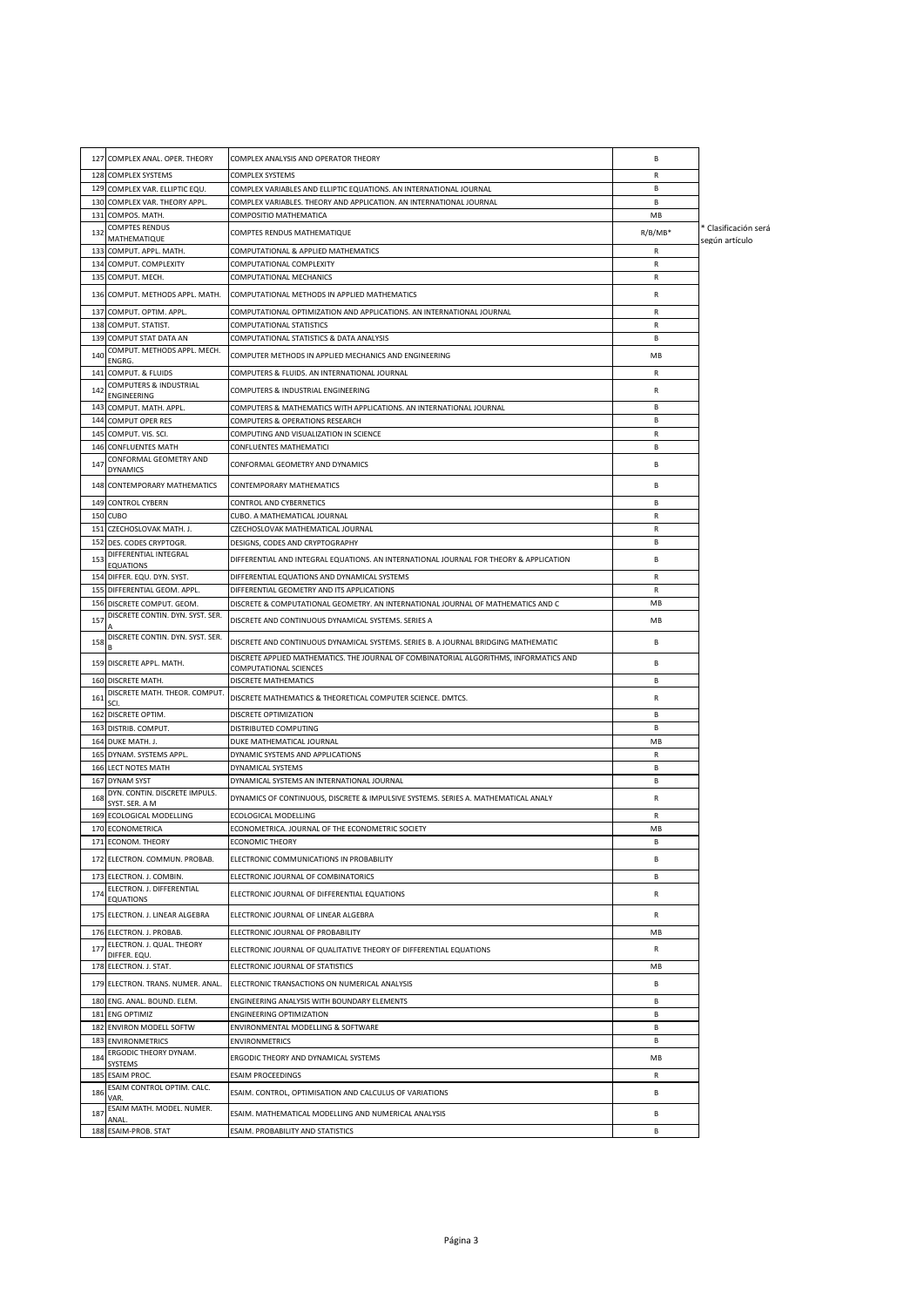|     | 127 COMPLEX ANAL. OPER. THEORY                   | COMPLEX ANALYSIS AND OPERATOR THEORY                                                                             | В         |                                        |
|-----|--------------------------------------------------|------------------------------------------------------------------------------------------------------------------|-----------|----------------------------------------|
|     | 128 COMPLEX SYSTEMS                              | COMPLEX SYSTEMS                                                                                                  | R         |                                        |
|     | 129 COMPLEX VAR. ELLIPTIC EQU.                   | COMPLEX VARIABLES AND ELLIPTIC EQUATIONS. AN INTERNATIONAL JOURNAL                                               | В         |                                        |
|     | 130 COMPLEX VAR. THEORY APPL.                    | COMPLEX VARIABLES. THEORY AND APPLICATION. AN INTERNATIONAL JOURNAL                                              | R.        |                                        |
| 131 | COMPOS. MATH.                                    | COMPOSITIO MATHEMATICA                                                                                           | MB        |                                        |
| 132 | <b>COMPTES RENDUS</b><br>MATHEMATIQUE            | COMPTES RENDUS MATHEMATIQUE                                                                                      | $R/B/MB*$ | * Clasificación será<br>según artículo |
|     | 133 COMPUT. APPL. MATH.                          | COMPUTATIONAL & APPLIED MATHEMATICS                                                                              | R         |                                        |
| 134 | COMPUT. COMPLEXITY                               | COMPUTATIONAL COMPLEXITY                                                                                         | R         |                                        |
|     | 135 COMPUT. MECH.                                | COMPUTATIONAL MECHANICS                                                                                          | R         |                                        |
|     | 136 COMPUT. METHODS APPL. MATH.                  | COMPUTATIONAL METHODS IN APPLIED MATHEMATICS                                                                     | R         |                                        |
| 137 | COMPUT. OPTIM. APPL.                             | COMPUTATIONAL OPTIMIZATION AND APPLICATIONS. AN INTERNATIONAL JOURNAL                                            | R         |                                        |
| 138 | COMPUT, STATIST.                                 | COMPUTATIONAL STATISTICS                                                                                         | R         |                                        |
|     | 139 COMPUT STAT DATA AN                          | COMPUTATIONAL STATISTICS & DATA ANALYSIS                                                                         | В         |                                        |
| 140 | COMPUT. METHODS APPL. MECH.                      | COMPUTER METHODS IN APPLIED MECHANICS AND ENGINEERING                                                            | MB        |                                        |
| 141 | ENGRG.<br>COMPUT. & FLUIDS                       | COMPUTERS & FLUIDS. AN INTERNATIONAL JOURNAL                                                                     | R         |                                        |
| 142 | COMPUTERS & INDUSTRIAL                           |                                                                                                                  | R         |                                        |
|     | ENGINEERING                                      | COMPUTERS & INDUSTRIAL ENGINEERING                                                                               |           |                                        |
|     | 143 COMPUT. MATH. APPL.                          | COMPUTERS & MATHEMATICS WITH APPLICATIONS. AN INTERNATIONAL JOURNAL                                              | B.        |                                        |
| 145 | 144 COMPUT OPER RES<br>COMPUT. VIS. SCI.         | COMPUTERS & OPERATIONS RESEARCH<br>COMPUTING AND VISUALIZATION IN SCIENCE                                        | B<br>R    |                                        |
| 146 | <b>CONFLUENTES MATH</b>                          | CONFLUENTES MATHEMATICI                                                                                          | В         |                                        |
|     | CONFORMAL GEOMETRY AND                           |                                                                                                                  |           |                                        |
| 147 | <b>DYNAMICS</b>                                  | CONFORMAL GEOMETRY AND DYNAMICS                                                                                  | В         |                                        |
|     | 148 CONTEMPORARY MATHEMATICS                     | CONTEMPORARY MATHEMATICS                                                                                         | B         |                                        |
|     | 149 CONTROL CYBERN                               | CONTROL AND CYBERNETICS                                                                                          | В         |                                        |
|     | 150 CUBO                                         | CUBO. A MATHEMATICAL JOURNAL                                                                                     | R         |                                        |
|     | 151 CZECHOSLOVAK MATH. J.                        | CZECHOSLOVAK MATHEMATICAL JOURNAL                                                                                | R         |                                        |
|     | 152 DES. CODES CRYPTOGR.                         | DESIGNS, CODES AND CRYPTOGRAPHY                                                                                  | В         |                                        |
| 153 | DIFFERENTIAL INTEGRAL<br><b>EQUATIONS</b>        | DIFFERENTIAL AND INTEGRAL EQUATIONS. AN INTERNATIONAL JOURNAL FOR THEORY & APPLICATION                           | В         |                                        |
|     | 154 DIFFER. EQU. DYN. SYST.                      | DIFFERENTIAL EQUATIONS AND DYNAMICAL SYSTEMS                                                                     | R         |                                        |
|     | 155 DIFFERENTIAL GEOM. APPL.                     | DIFFERENTIAL GEOMETRY AND ITS APPLICATIONS                                                                       | R         |                                        |
|     | 156 DISCRETE COMPUT. GEOM.                       | DISCRETE & COMPUTATIONAL GEOMETRY. AN INTERNATIONAL JOURNAL OF MATHEMATICS AND C                                 | MB        |                                        |
| 157 | DISCRETE CONTIN. DYN. SYST. SER.                 | DISCRETE AND CONTINUOUS DYNAMICAL SYSTEMS. SERIES A                                                              | MB        |                                        |
|     | DISCRETE CONTIN. DYN. SYST. SER.                 |                                                                                                                  |           |                                        |
| 158 |                                                  | DISCRETE AND CONTINUOUS DYNAMICAL SYSTEMS. SERIES B. A JOURNAL BRIDGING MATHEMATIC                               | B         |                                        |
|     | 159 DISCRETE APPL. MATH.                         | DISCRETE APPLIED MATHEMATICS. THE JOURNAL OF COMBINATORIAL ALGORITHMS, INFORMATICS AND<br>COMPUTATIONAL SCIENCES | В         |                                        |
|     | 160 DISCRETE MATH.                               | <b>DISCRETE MATHEMATICS</b>                                                                                      | <b>B</b>  |                                        |
| 161 | DISCRETE MATH. THEOR. COMPUT<br>SCI.             | DISCRETE MATHEMATICS & THEORETICAL COMPUTER SCIENCE. DMTCS.                                                      | R         |                                        |
|     | 162 DISCRETE OPTIM.                              | DISCRETE OPTIMIZATION                                                                                            | B.        |                                        |
|     | 163 DISTRIB. COMPUT.                             | DISTRIBUTED COMPUTING                                                                                            | В         |                                        |
| 164 | DUKE MATH. J.                                    | DUKE MATHEMATICAL JOURNAL                                                                                        | MB        |                                        |
| 165 | DYNAM. SYSTEMS APPL.                             | DYNAMIC SYSTEMS AND APPLICATIONS                                                                                 | R         |                                        |
|     | 166 LECT NOTES MATH                              | DYNAMICAL SYSTEMS                                                                                                | В         |                                        |
|     | 167 DYNAM SYST                                   | DYNAMICAL SYSTEMS AN INTERNATIONAL JOURNAL                                                                       | В         |                                        |
| 168 | DYN. CONTIN. DISCRETE IMPULS.<br>SYST. SER. A M  | DYNAMICS OF CONTINUOUS, DISCRETE & IMPULSIVE SYSTEMS. SERIES A. MATHEMATICAL ANALY                               | R         |                                        |
|     | 169 ECOLOGICAL MODELLING                         | ECOLOGICAL MODELLING                                                                                             | R         |                                        |
|     | 170 ECONOMETRICA                                 | ECONOMETRICA. JOURNAL OF THE ECONOMETRIC SOCIETY                                                                 | MB        |                                        |
|     | 171 ECONOM. THEORY                               | <b>ECONOMIC THEORY</b>                                                                                           | В         |                                        |
|     | 172 ELECTRON. COMMUN. PROBAB.                    | ELECTRONIC COMMUNICATIONS IN PROBABILITY                                                                         | В         |                                        |
| 173 | ELECTRON. J. COMBIN.                             | ELECTRONIC JOURNAL OF COMBINATORICS                                                                              | B         |                                        |
| 174 | ELECTRON. J. DIFFERENTIAL                        | ELECTRONIC JOURNAL OF DIFFERENTIAL EQUATIONS                                                                     | R         |                                        |
|     | <b>EQUATIONS</b>                                 |                                                                                                                  |           |                                        |
| 175 | ELECTRON. J. LINEAR ALGEBRA                      | ELECTRONIC JOURNAL OF LINEAR ALGEBRA                                                                             | R         |                                        |
| 176 | ELECTRON. J. PROBAB.                             | ELECTRONIC JOURNAL OF PROBABILITY                                                                                | MB        |                                        |
| 177 | ELECTRON. J. QUAL. THEORY                        | ELECTRONIC JOURNAL OF QUALITATIVE THEORY OF DIFFERENTIAL EQUATIONS                                               | R         |                                        |
|     | DIFFER. EQU.<br>178 ELECTRON. J. STAT.           | ELECTRONIC JOURNAL OF STATISTICS                                                                                 | MB        |                                        |
|     |                                                  |                                                                                                                  | В         |                                        |
|     | 179 ELECTRON. TRANS. NUMER. ANAL.                | ELECTRONIC TRANSACTIONS ON NUMERICAL ANALYSIS                                                                    |           |                                        |
| 180 | ENG. ANAL. BOUND. ELEM.<br>181 ENG OPTIMIZ       | ENGINEERING ANALYSIS WITH BOUNDARY ELEMENTS                                                                      | В<br>В    |                                        |
|     | 182 ENVIRON MODELL SOFTW                         | <b>ENGINEERING OPTIMIZATION</b><br>ENVIRONMENTAL MODELLING & SOFTWARE                                            | В         |                                        |
|     | <b>183 ENVIRONMETRICS</b>                        | <b>ENVIRONMETRICS</b>                                                                                            | B.        |                                        |
|     | ERGODIC THEORY DYNAM.                            |                                                                                                                  |           |                                        |
| 184 | SYSTEMS                                          | ERGODIC THEORY AND DYNAMICAL SYSTEMS                                                                             | MB        |                                        |
| 185 | <b>ESAIM PROC.</b><br>ESAIM CONTROL OPTIM. CALC. | <b>ESAIM PROCEEDINGS</b>                                                                                         | R         |                                        |
| 186 | VAR.                                             | ESAIM. CONTROL, OPTIMISATION AND CALCULUS OF VARIATIONS                                                          | В         |                                        |
| 187 | ESAIM MATH. MODEL. NUMER.<br>ANAL                | ESAIM. MATHEMATICAL MODELLING AND NUMERICAL ANALYSIS                                                             | В         |                                        |
|     | 188 ESAIM-PROB. STAT                             | ESAIM. PROBABILITY AND STATISTICS                                                                                | В         |                                        |
|     |                                                  |                                                                                                                  |           |                                        |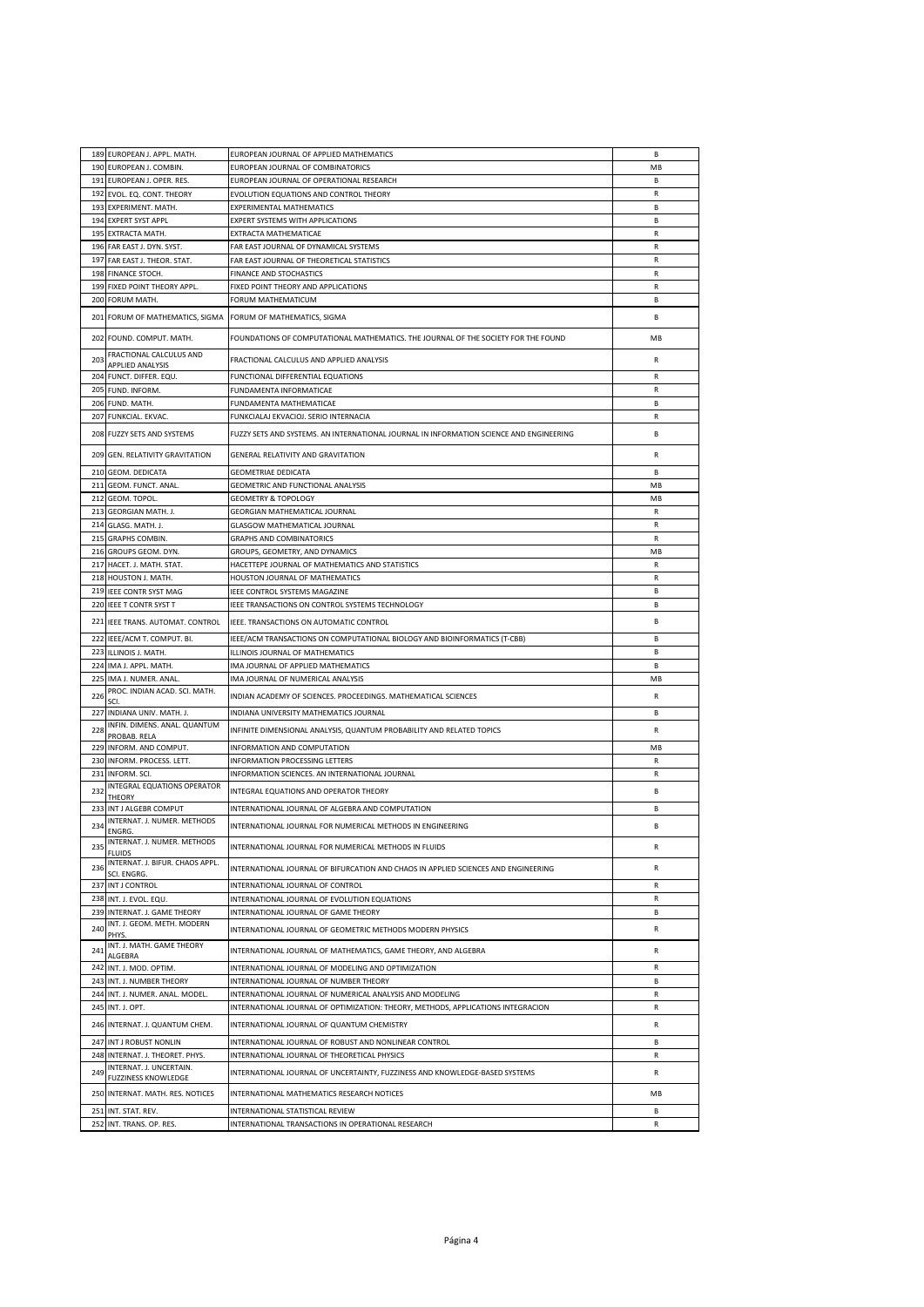|     | 189 EUROPEAN J. APPL. MATH.           | EUROPEAN JOURNAL OF APPLIED MATHEMATICS                                                 | <b>B</b>     |
|-----|---------------------------------------|-----------------------------------------------------------------------------------------|--------------|
| 190 | EUROPEAN J. COMBIN.                   | EUROPEAN JOURNAL OF COMBINATORICS                                                       | MB           |
|     |                                       |                                                                                         |              |
| 191 | EUROPEAN J. OPER. RES.                | EUROPEAN JOURNAL OF OPERATIONAL RESEARCH                                                | B            |
| 192 | EVOL. EQ. CONT. THEORY                | EVOLUTION EQUATIONS AND CONTROL THEORY                                                  | R            |
| 193 | EXPERIMENT. MATH.                     | <b>EXPERIMENTAL MATHEMATICS</b>                                                         | B            |
|     | 194 EXPERT SYST APPL                  | EXPERT SYSTEMS WITH APPLICATIONS                                                        | В            |
|     | 195 EXTRACTA MATH.                    | EXTRACTA MATHEMATICAE                                                                   | $\mathsf{R}$ |
| 196 | FAR EAST J. DYN. SYST.                | FAR EAST JOURNAL OF DYNAMICAL SYSTEMS                                                   | R            |
|     |                                       |                                                                                         |              |
| 197 | FAR EAST J. THEOR. STAT.              | FAR EAST JOURNAL OF THEORETICAL STATISTICS                                              | R            |
| 198 | FINANCE STOCH.                        | FINANCE AND STOCHASTICS                                                                 | $\mathsf{R}$ |
| 199 | FIXED POINT THEORY APPL.              | FIXED POINT THEORY AND APPLICATIONS                                                     | R            |
| 200 | FORUM MATH.                           | FORUM MATHEMATICUM                                                                      | В            |
|     |                                       |                                                                                         |              |
| 201 | FORUM OF MATHEMATICS, SIGMA           | FORUM OF MATHEMATICS, SIGMA                                                             | В            |
|     |                                       |                                                                                         | MB           |
|     | 202 FOUND. COMPUT. MATH.              | FOUNDATIONS OF COMPUTATIONAL MATHEMATICS. THE JOURNAL OF THE SOCIETY FOR THE FOUND      |              |
| 203 | FRACTIONAL CALCULUS AND               | FRACTIONAL CALCULUS AND APPLIED ANALYSIS                                                | R            |
|     | APPLIED ANALYSIS                      |                                                                                         |              |
|     | 204 FUNCT. DIFFER. EQU.               | FUNCTIONAL DIFFERENTIAL EQUATIONS                                                       | R            |
|     | 205 FUND. INFORM.                     | FUNDAMENTA INFORMATICAE                                                                 | R            |
|     | 206 FUND. MATH.                       | FUNDAMENTA MATHEMATICAE                                                                 | B            |
|     | 207 FUNKCIAL. EKVAC.                  | FUNKCIALAJ EKVACIOJ. SERIO INTERNACIA                                                   | R            |
|     |                                       |                                                                                         |              |
|     | 208 FUZZY SETS AND SYSTEMS            | FUZZY SETS AND SYSTEMS. AN INTERNATIONAL JOURNAL IN INFORMATION SCIENCE AND ENGINEERING | B            |
|     |                                       |                                                                                         |              |
|     | 209 GEN. RELATIVITY GRAVITATION       | GENERAL RELATIVITY AND GRAVITATION                                                      | R            |
|     | 210 GEOM. DEDICATA                    | <b>GEOMETRIAE DEDICATA</b>                                                              | В            |
|     |                                       |                                                                                         |              |
|     | 211 GEOM. FUNCT. ANAL.                | GEOMETRIC AND FUNCTIONAL ANALYSIS                                                       | MB           |
|     | 212 GEOM. TOPOL.                      | <b>GEOMETRY &amp; TOPOLOGY</b>                                                          | MB           |
| 213 | <b>GEORGIAN MATH. J.</b>              | GEORGIAN MATHEMATICAL JOURNAL                                                           | R            |
|     | 214 GLASG. MATH. J.                   | GLASGOW MATHEMATICAL JOURNAL                                                            | R            |
|     | 215 GRAPHS COMBIN.                    | <b>GRAPHS AND COMBINATORICS</b>                                                         | R            |
| 216 |                                       |                                                                                         | MB           |
|     | GROUPS GEOM. DYN.                     | GROUPS, GEOMETRY, AND DYNAMICS                                                          |              |
|     | 217 HACET. J. MATH. STAT.             | HACETTEPE JOURNAL OF MATHEMATICS AND STATISTICS                                         | R            |
|     | 218 HOUSTON J. MATH.                  | HOUSTON JOURNAL OF MATHEMATICS                                                          | $\mathsf{R}$ |
| 219 | IEEE CONTR SYST MAG                   | IEEE CONTROL SYSTEMS MAGAZINE                                                           | B            |
| 220 | IEEE T CONTR SYST T                   | IEEE TRANSACTIONS ON CONTROL SYSTEMS TECHNOLOGY                                         | В            |
|     |                                       |                                                                                         |              |
|     | 221 IEEE TRANS. AUTOMAT. CONTROL      | IEEE. TRANSACTIONS ON AUTOMATIC CONTROL                                                 | В            |
| 222 | IEEE/ACM T. COMPUT. BI.               | IEEE/ACM TRANSACTIONS ON COMPUTATIONAL BIOLOGY AND BIOINFORMATICS (T-CBB)               | В            |
| 223 | ILLINOIS J. MATH.                     |                                                                                         | R.           |
|     |                                       | ILLINOIS JOURNAL OF MATHEMATICS                                                         |              |
| 224 | IMA J. APPL. MATH.                    | IMA JOURNAL OF APPLIED MATHEMATICS                                                      | В            |
| 225 | IMA J. NUMER. ANAL.                   | IMA JOURNAL OF NUMERICAL ANALYSIS                                                       | MB           |
| 226 | PROC. INDIAN ACAD. SCI. MATH.         | INDIAN ACADEMY OF SCIENCES. PROCEEDINGS. MATHEMATICAL SCIENCES                          | R            |
|     | SCI.                                  |                                                                                         |              |
| 227 | INDIANA UNIV. MATH. J.                | INDIANA UNIVERSITY MATHEMATICS JOURNAL                                                  | B            |
| 228 | INFIN. DIMENS. ANAL. QUANTUM          | INFINITE DIMENSIONAL ANALYSIS, QUANTUM PROBABILITY AND RELATED TOPICS                   | R            |
|     | PROBAB. RELA                          |                                                                                         |              |
| 229 | INFORM. AND COMPUT.                   | INFORMATION AND COMPUTATION                                                             | MB           |
|     | 230 INFORM. PROCESS. LETT.            | INFORMATION PROCESSING LETTERS                                                          | R            |
|     | 231 INFORM. SCI.                      | INFORMATION SCIENCES. AN INTERNATIONAL JOURNAL                                          | R            |
|     | INTEGRAL EQUATIONS OPERATOR           |                                                                                         |              |
| 232 | THEORY                                | INTEGRAL EQUATIONS AND OPERATOR THEORY                                                  | В            |
| 233 | INT J ALGEBR COMPUT                   | INTERNATIONAL JOURNAL OF ALGEBRA AND COMPUTATION                                        | <b>B</b>     |
|     |                                       |                                                                                         |              |
| 234 | INTERNAT. J. NUMER. METHODS<br>ENGRG. | INTERNATIONAL JOURNAL FOR NUMERICAL METHODS IN ENGINEERING                              | В            |
|     | INTERNAT. J. NUMER. METHODS           |                                                                                         |              |
| 235 | <b>FLUIDS</b>                         | INTERNATIONAL JOURNAL FOR NUMERICAL METHODS IN FLUIDS                                   | R            |
|     | INTERNAT. J. BIFUR. CHAOS APPL.       |                                                                                         |              |
| 236 | SCI. ENGRG.                           | INTERNATIONAL JOURNAL OF BIFURCATION AND CHAOS IN APPLIED SCIENCES AND ENGINEERING      | R            |
| 237 | INT J CONTROL                         | INTERNATIONAL JOURNAL OF CONTROL                                                        | R            |
| 238 | INT. J. EVOL. EQU.                    | INTERNATIONAL JOURNAL OF EVOLUTION EQUATIONS                                            | R            |
|     |                                       |                                                                                         |              |
| 239 | INTERNAT. J. GAME THEORY              | INTERNATIONAL JOURNAL OF GAME THEORY                                                    | B            |
| 240 | INT. J. GEOM. METH. MODERN            | INTERNATIONAL JOURNAL OF GEOMETRIC METHODS MODERN PHYSICS                               | R            |
|     | PHYS.<br>INT. J. MATH. GAME THEORY    |                                                                                         |              |
| 241 | ALGEBRA                               | INTERNATIONAL JOURNAL OF MATHEMATICS, GAME THEORY, AND ALGEBRA                          | R            |
| 242 | INT. J. MOD. OPTIM.                   |                                                                                         | R            |
|     |                                       | INTERNATIONAL JOURNAL OF MODELING AND OPTIMIZATION                                      |              |
| 243 | INT. J. NUMBER THEORY                 | INTERNATIONAL JOURNAL OF NUMBER THEORY                                                  | B            |
| 244 | INT. J. NUMER. ANAL. MODEL.           | INTERNATIONAL JOURNAL OF NUMERICAL ANALYSIS AND MODELING                                | R            |
| 245 | INT. J. OPT.                          | INTERNATIONAL JOURNAL OF OPTIMIZATION: THEORY, METHODS, APPLICATIONS INTEGRACION        | R            |
|     |                                       |                                                                                         |              |
| 246 | INTERNAT. J. QUANTUM CHEM.            | INTERNATIONAL JOURNAL OF QUANTUM CHEMISTRY                                              | R            |
| 247 | INT J ROBUST NONLIN                   | INTERNATIONAL JOURNAL OF ROBUST AND NONLINEAR CONTROL                                   | B            |
| 248 | INTERNAT. J. THEORET. PHYS.           | INTERNATIONAL JOURNAL OF THEORETICAL PHYSICS                                            | R            |
|     | INTERNAT. J. UNCERTAIN.               |                                                                                         |              |
| 249 | <b>FUZZINESS KNOWLEDGE</b>            | INTERNATIONAL JOURNAL OF UNCERTAINTY, FUZZINESS AND KNOWLEDGE-BASED SYSTEMS             | R            |
|     |                                       |                                                                                         |              |
| 250 | INTERNAT. MATH. RES. NOTICES          | INTERNATIONAL MATHEMATICS RESEARCH NOTICES                                              | MB           |
| 251 | INT. STAT. REV.                       | INTERNATIONAL STATISTICAL REVIEW                                                        | В            |
|     | 252 INT. TRANS. OP. RES.              | INTERNATIONAL TRANSACTIONS IN OPERATIONAL RESEARCH                                      | R            |
|     |                                       |                                                                                         |              |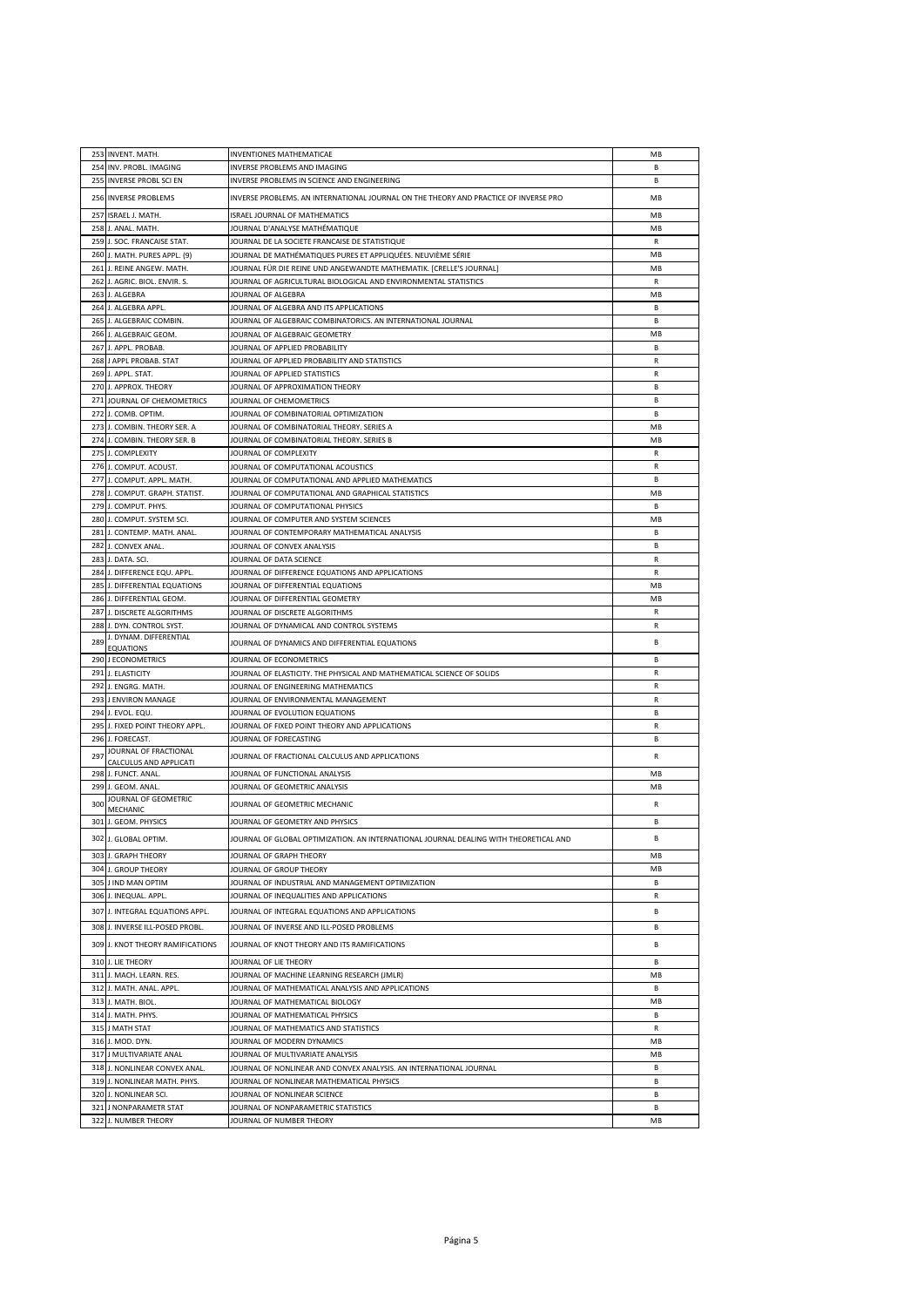| INVERSE PROBLEMS AND IMAGING<br>254 INV. PROBL. IMAGING<br>B.<br>255<br><b>INVERSE PROBL SCI EN</b><br>INVERSE PROBLEMS IN SCIENCE AND ENGINEERING<br>B<br>256 INVERSE PROBLEMS<br>INVERSE PROBLEMS. AN INTERNATIONAL JOURNAL ON THE THEORY AND PRACTICE OF INVERSE PRO<br>MB<br>ISRAEL J. MATH.<br>ISRAEL JOURNAL OF MATHEMATICS<br>MB<br>257<br>MB<br>258<br>J. ANAL. MATH.<br>JOURNAL D'ANALYSE MATHÉMATIQUE<br>259<br>J. SOC. FRANCAISE STAT.<br>JOURNAL DE LA SOCIETE FRANCAISE DE STATISTIQUE<br>R<br>J. MATH. PURES APPL. (9)<br>JOURNAL DE MATHÉMATIQUES PURES ET APPLIQUÉES. NEUVIÈME SÉRIE<br>MB<br>260<br>261 J. REINE ANGEW. MATH.<br>JOURNAL FÜR DIE REINE UND ANGEWANDTE MATHEMATIK. [CRELLE'S JOURNAL]<br>MB<br>R<br>262<br>J. AGRIC. BIOL. ENVIR. S.<br>JOURNAL OF AGRICULTURAL BIOLOGICAL AND ENVIRONMENTAL STATISTICS<br>263 J. ALGEBRA<br>JOURNAL OF ALGEBRA<br>MB<br>264 J. ALGEBRA APPL.<br>JOURNAL OF ALGEBRA AND ITS APPLICATIONS<br>R.<br>R.<br>265 J. ALGEBRAIC COMBIN.<br>JOURNAL OF ALGEBRAIC COMBINATORICS. AN INTERNATIONAL JOURNAL<br>J. ALGEBRAIC GEOM.<br>JOURNAL OF ALGEBRAIC GEOMETRY<br>MB<br>266<br>J. APPL. PROBAB.<br>JOURNAL OF APPLIED PROBABILITY<br>В<br>267<br>J APPL PROBAB. STAT<br>JOURNAL OF APPLIED PROBABILITY AND STATISTICS<br>$\mathsf{R}$<br>268<br>269<br>J. APPL. STAT.<br>JOURNAL OF APPLIED STATISTICS<br>R<br>270 J. APPROX. THEORY<br>JOURNAL OF APPROXIMATION THEORY<br>B<br>271 JOURNAL OF CHEMOMETRICS<br>JOURNAL OF CHEMOMETRICS<br>R.<br>272<br>B<br>J. COMB. OPTIM.<br>JOURNAL OF COMBINATORIAL OPTIMIZATION<br>MB<br>273<br>J. COMBIN. THEORY SER. A<br>JOURNAL OF COMBINATORIAL THEORY. SERIES A<br>MB<br>J. COMBIN. THEORY SER. B<br>JOURNAL OF COMBINATORIAL THEORY. SERIES B<br>274<br>275 J. COMPLEXITY<br>JOURNAL OF COMPLEXITY<br>R<br>276 J. COMPUT. ACOUST.<br>JOURNAL OF COMPUTATIONAL ACOUSTICS<br>R<br>J. COMPUT. APPL. MATH.<br>JOURNAL OF COMPUTATIONAL AND APPLIED MATHEMATICS<br>R.<br>277<br>278<br>J. COMPUT, GRAPH, STATIST.<br>JOURNAL OF COMPUTATIONAL AND GRAPHICAL STATISTICS<br>MB<br>279<br>J. COMPUT. PHYS.<br>JOURNAL OF COMPUTATIONAL PHYSICS<br>B<br>MB<br>280<br>J. COMPUT. SYSTEM SCI.<br>JOURNAL OF COMPUTER AND SYSTEM SCIENCES<br>281<br>J. CONTEMP. MATH. ANAL.<br>JOURNAL OF CONTEMPORARY MATHEMATICAL ANALYSIS<br><b>B</b><br>J. CONVEX ANAL<br>JOURNAL OF CONVEX ANALYSIS<br>282<br>B<br>283 J. DATA. SCI.<br>JOURNAL OF DATA SCIENCE<br>R<br>284 J. DIFFERENCE EQU. APPL.<br>R<br>JOURNAL OF DIFFERENCE EQUATIONS AND APPLICATIONS<br>J. DIFFERENTIAL EQUATIONS<br>JOURNAL OF DIFFERENTIAL EQUATIONS<br>MB<br>285<br>MB<br>286 J. DIFFERENTIAL GEOM.<br>JOURNAL OF DIFFERENTIAL GEOMETRY<br>287 J. DISCRETE ALGORITHMS<br>R<br>JOURNAL OF DISCRETE ALGORITHMS<br>J. DYN. CONTROL SYST.<br>JOURNAL OF DYNAMICAL AND CONTROL SYSTEMS<br>R<br>288<br>J. DYNAM. DIFFERENTIAL<br>JOURNAL OF DYNAMICS AND DIFFERENTIAL EQUATIONS<br>В<br>289<br><b>EQUATIONS</b><br>290 J ECONOMETRICS<br>JOURNAL OF ECONOMETRICS<br>B<br>291 J. ELASTICITY<br>JOURNAL OF ELASTICITY. THE PHYSICAL AND MATHEMATICAL SCIENCE OF SOLIDS<br>R<br>292 J. ENGRG. MATH.<br>JOURNAL OF ENGINEERING MATHEMATICS<br>R<br>293 J ENVIRON MANAGE<br>JOURNAL OF ENVIRONMENTAL MANAGEMENT<br>R<br>R.<br>294 J. EVOL. EQU.<br>JOURNAL OF EVOLUTION EQUATIONS<br>J. FIXED POINT THEORY APPL.<br>JOURNAL OF FIXED POINT THEORY AND APPLICATIONS<br>295<br>R<br>296<br>J. FORECAST.<br>JOURNAL OF FORECASTING<br>B<br>JOURNAL OF FRACTIONAL<br>297<br>R<br>JOURNAL OF FRACTIONAL CALCULUS AND APPLICATIONS<br>CALCULUS AND APPLICATI<br>298 J. FUNCT. ANAL.<br>JOURNAL OF FUNCTIONAL ANALYSIS<br>MB<br>299 J. GEOM. ANAL.<br>JOURNAL OF GEOMETRIC ANALYSIS<br>MB<br>JOURNAL OF GEOMETRIC<br>300<br>JOURNAL OF GEOMETRIC MECHANIC<br>R<br>MECHANIC<br>301 J. GEOM. PHYSICS<br>JOURNAL OF GEOMETRY AND PHYSICS<br><b>B</b><br>302 J. GLOBAL OPTIM.<br>JOURNAL OF GLOBAL OPTIMIZATION. AN INTERNATIONAL JOURNAL DEALING WITH THEORETICAL AND<br>В<br>303<br>J. GRAPH THEORY<br>JOURNAL OF GRAPH THEORY<br>MB<br>MB<br>304 J. GROUP THEORY<br>JOURNAL OF GROUP THEORY<br>305 J IND MAN OPTIM<br>JOURNAL OF INDUSTRIAL AND MANAGEMENT OPTIMIZATION<br>R.<br>R<br>306<br>J. INEQUAL, APPL.<br>JOURNAL OF INEQUALITIES AND APPLICATIONS<br>307<br>J. INTEGRAL EQUATIONS APPL.<br>JOURNAL OF INTEGRAL EQUATIONS AND APPLICATIONS<br>В<br>308 J. INVERSE ILL-POSED PROBL.<br>JOURNAL OF INVERSE AND ILL-POSED PROBLEMS<br>В<br>309 J. KNOT THEORY RAMIFICATIONS<br>JOURNAL OF KNOT THEORY AND ITS RAMIFICATIONS<br>B<br>B<br>310 J. LIE THEORY<br>JOURNAL OF LIE THEORY<br>311 J. MACH. LEARN. RES.<br>JOURNAL OF MACHINE LEARNING RESEARCH (JMLR)<br>MB<br>312 J. MATH. ANAL. APPL.<br>JOURNAL OF MATHEMATICAL ANALYSIS AND APPLICATIONS<br>В<br>MB<br>313 J. MATH. BIOL.<br>JOURNAL OF MATHEMATICAL BIOLOGY<br>314 J. MATH. PHYS.<br>JOURNAL OF MATHEMATICAL PHYSICS<br>В<br>315<br>J MATH STAT<br>JOURNAL OF MATHEMATICS AND STATISTICS<br>R<br>MB<br>316 J. MOD. DYN.<br>JOURNAL OF MODERN DYNAMICS<br>MB<br>317 J MULTIVARIATE ANAL<br>JOURNAL OF MULTIVARIATE ANALYSIS<br>318 J. NONLINEAR CONVEX ANAL<br>JOURNAL OF NONLINEAR AND CONVEX ANALYSIS. AN INTERNATIONAL JOURNAL<br>B<br>В<br>319 J. NONLINEAR MATH. PHYS.<br>JOURNAL OF NONLINEAR MATHEMATICAL PHYSICS<br>320 J. NONLINEAR SCI.<br>JOURNAL OF NONLINEAR SCIENCE<br>В<br>321<br>В<br>J NONPARAMETR STAT<br>JOURNAL OF NONPARAMETRIC STATISTICS<br>MB<br>322 J. NUMBER THEORY<br>JOURNAL OF NUMBER THEORY | 253 INVENT. MATH. | INVENTIONES MATHEMATICAE | МB |
|------------------------------------------------------------------------------------------------------------------------------------------------------------------------------------------------------------------------------------------------------------------------------------------------------------------------------------------------------------------------------------------------------------------------------------------------------------------------------------------------------------------------------------------------------------------------------------------------------------------------------------------------------------------------------------------------------------------------------------------------------------------------------------------------------------------------------------------------------------------------------------------------------------------------------------------------------------------------------------------------------------------------------------------------------------------------------------------------------------------------------------------------------------------------------------------------------------------------------------------------------------------------------------------------------------------------------------------------------------------------------------------------------------------------------------------------------------------------------------------------------------------------------------------------------------------------------------------------------------------------------------------------------------------------------------------------------------------------------------------------------------------------------------------------------------------------------------------------------------------------------------------------------------------------------------------------------------------------------------------------------------------------------------------------------------------------------------------------------------------------------------------------------------------------------------------------------------------------------------------------------------------------------------------------------------------------------------------------------------------------------------------------------------------------------------------------------------------------------------------------------------------------------------------------------------------------------------------------------------------------------------------------------------------------------------------------------------------------------------------------------------------------------------------------------------------------------------------------------------------------------------------------------------------------------------------------------------------------------------------------------------------------------------------------------------------------------------------------------------------------------------------------------------------------------------------------------------------------------------------------------------------------------------------------------------------------------------------------------------------------------------------------------------------------------------------------------------------------------------------------------------------------------------------------------------------------------------------------------------------------------------------------------------------------------------------------------------------------------------------------------------------------------------------------------------------------------------------------------------------------------------------------------------------------------------------------------------------------------------------------------------------------------------------------------------------------------------------------------------------------------------------------------------------------------------------------------------------------------------------------------------------------------------------------------------------------------------------------------------------------------------------------------------------------------------------------------------------------------------------------------------------------------------------------------------------------------------------------------------------------------------------------------------------------------------------------------------------------------------------------------------------------------------------------------------------------------------------------------------------------------------------------------------------------------------------------------------------------------------------------------------------------------------------------------------------------------------------------------------------------------------------------------------------------------------------------------------------------------------------------------------------------------------------------------------------------------------------------------------------------------------------------------------------------------------------------------------------------------------------------------------------------------------|-------------------|--------------------------|----|
|                                                                                                                                                                                                                                                                                                                                                                                                                                                                                                                                                                                                                                                                                                                                                                                                                                                                                                                                                                                                                                                                                                                                                                                                                                                                                                                                                                                                                                                                                                                                                                                                                                                                                                                                                                                                                                                                                                                                                                                                                                                                                                                                                                                                                                                                                                                                                                                                                                                                                                                                                                                                                                                                                                                                                                                                                                                                                                                                                                                                                                                                                                                                                                                                                                                                                                                                                                                                                                                                                                                                                                                                                                                                                                                                                                                                                                                                                                                                                                                                                                                                                                                                                                                                                                                                                                                                                                                                                                                                                                                                                                                                                                                                                                                                                                                                                                                                                                                                                                                                                                                                                                                                                                                                                                                                                                                                                                                                                                                                                                                                    |                   |                          |    |
|                                                                                                                                                                                                                                                                                                                                                                                                                                                                                                                                                                                                                                                                                                                                                                                                                                                                                                                                                                                                                                                                                                                                                                                                                                                                                                                                                                                                                                                                                                                                                                                                                                                                                                                                                                                                                                                                                                                                                                                                                                                                                                                                                                                                                                                                                                                                                                                                                                                                                                                                                                                                                                                                                                                                                                                                                                                                                                                                                                                                                                                                                                                                                                                                                                                                                                                                                                                                                                                                                                                                                                                                                                                                                                                                                                                                                                                                                                                                                                                                                                                                                                                                                                                                                                                                                                                                                                                                                                                                                                                                                                                                                                                                                                                                                                                                                                                                                                                                                                                                                                                                                                                                                                                                                                                                                                                                                                                                                                                                                                                                    |                   |                          |    |
|                                                                                                                                                                                                                                                                                                                                                                                                                                                                                                                                                                                                                                                                                                                                                                                                                                                                                                                                                                                                                                                                                                                                                                                                                                                                                                                                                                                                                                                                                                                                                                                                                                                                                                                                                                                                                                                                                                                                                                                                                                                                                                                                                                                                                                                                                                                                                                                                                                                                                                                                                                                                                                                                                                                                                                                                                                                                                                                                                                                                                                                                                                                                                                                                                                                                                                                                                                                                                                                                                                                                                                                                                                                                                                                                                                                                                                                                                                                                                                                                                                                                                                                                                                                                                                                                                                                                                                                                                                                                                                                                                                                                                                                                                                                                                                                                                                                                                                                                                                                                                                                                                                                                                                                                                                                                                                                                                                                                                                                                                                                                    |                   |                          |    |
|                                                                                                                                                                                                                                                                                                                                                                                                                                                                                                                                                                                                                                                                                                                                                                                                                                                                                                                                                                                                                                                                                                                                                                                                                                                                                                                                                                                                                                                                                                                                                                                                                                                                                                                                                                                                                                                                                                                                                                                                                                                                                                                                                                                                                                                                                                                                                                                                                                                                                                                                                                                                                                                                                                                                                                                                                                                                                                                                                                                                                                                                                                                                                                                                                                                                                                                                                                                                                                                                                                                                                                                                                                                                                                                                                                                                                                                                                                                                                                                                                                                                                                                                                                                                                                                                                                                                                                                                                                                                                                                                                                                                                                                                                                                                                                                                                                                                                                                                                                                                                                                                                                                                                                                                                                                                                                                                                                                                                                                                                                                                    |                   |                          |    |
|                                                                                                                                                                                                                                                                                                                                                                                                                                                                                                                                                                                                                                                                                                                                                                                                                                                                                                                                                                                                                                                                                                                                                                                                                                                                                                                                                                                                                                                                                                                                                                                                                                                                                                                                                                                                                                                                                                                                                                                                                                                                                                                                                                                                                                                                                                                                                                                                                                                                                                                                                                                                                                                                                                                                                                                                                                                                                                                                                                                                                                                                                                                                                                                                                                                                                                                                                                                                                                                                                                                                                                                                                                                                                                                                                                                                                                                                                                                                                                                                                                                                                                                                                                                                                                                                                                                                                                                                                                                                                                                                                                                                                                                                                                                                                                                                                                                                                                                                                                                                                                                                                                                                                                                                                                                                                                                                                                                                                                                                                                                                    |                   |                          |    |
|                                                                                                                                                                                                                                                                                                                                                                                                                                                                                                                                                                                                                                                                                                                                                                                                                                                                                                                                                                                                                                                                                                                                                                                                                                                                                                                                                                                                                                                                                                                                                                                                                                                                                                                                                                                                                                                                                                                                                                                                                                                                                                                                                                                                                                                                                                                                                                                                                                                                                                                                                                                                                                                                                                                                                                                                                                                                                                                                                                                                                                                                                                                                                                                                                                                                                                                                                                                                                                                                                                                                                                                                                                                                                                                                                                                                                                                                                                                                                                                                                                                                                                                                                                                                                                                                                                                                                                                                                                                                                                                                                                                                                                                                                                                                                                                                                                                                                                                                                                                                                                                                                                                                                                                                                                                                                                                                                                                                                                                                                                                                    |                   |                          |    |
|                                                                                                                                                                                                                                                                                                                                                                                                                                                                                                                                                                                                                                                                                                                                                                                                                                                                                                                                                                                                                                                                                                                                                                                                                                                                                                                                                                                                                                                                                                                                                                                                                                                                                                                                                                                                                                                                                                                                                                                                                                                                                                                                                                                                                                                                                                                                                                                                                                                                                                                                                                                                                                                                                                                                                                                                                                                                                                                                                                                                                                                                                                                                                                                                                                                                                                                                                                                                                                                                                                                                                                                                                                                                                                                                                                                                                                                                                                                                                                                                                                                                                                                                                                                                                                                                                                                                                                                                                                                                                                                                                                                                                                                                                                                                                                                                                                                                                                                                                                                                                                                                                                                                                                                                                                                                                                                                                                                                                                                                                                                                    |                   |                          |    |
|                                                                                                                                                                                                                                                                                                                                                                                                                                                                                                                                                                                                                                                                                                                                                                                                                                                                                                                                                                                                                                                                                                                                                                                                                                                                                                                                                                                                                                                                                                                                                                                                                                                                                                                                                                                                                                                                                                                                                                                                                                                                                                                                                                                                                                                                                                                                                                                                                                                                                                                                                                                                                                                                                                                                                                                                                                                                                                                                                                                                                                                                                                                                                                                                                                                                                                                                                                                                                                                                                                                                                                                                                                                                                                                                                                                                                                                                                                                                                                                                                                                                                                                                                                                                                                                                                                                                                                                                                                                                                                                                                                                                                                                                                                                                                                                                                                                                                                                                                                                                                                                                                                                                                                                                                                                                                                                                                                                                                                                                                                                                    |                   |                          |    |
|                                                                                                                                                                                                                                                                                                                                                                                                                                                                                                                                                                                                                                                                                                                                                                                                                                                                                                                                                                                                                                                                                                                                                                                                                                                                                                                                                                                                                                                                                                                                                                                                                                                                                                                                                                                                                                                                                                                                                                                                                                                                                                                                                                                                                                                                                                                                                                                                                                                                                                                                                                                                                                                                                                                                                                                                                                                                                                                                                                                                                                                                                                                                                                                                                                                                                                                                                                                                                                                                                                                                                                                                                                                                                                                                                                                                                                                                                                                                                                                                                                                                                                                                                                                                                                                                                                                                                                                                                                                                                                                                                                                                                                                                                                                                                                                                                                                                                                                                                                                                                                                                                                                                                                                                                                                                                                                                                                                                                                                                                                                                    |                   |                          |    |
|                                                                                                                                                                                                                                                                                                                                                                                                                                                                                                                                                                                                                                                                                                                                                                                                                                                                                                                                                                                                                                                                                                                                                                                                                                                                                                                                                                                                                                                                                                                                                                                                                                                                                                                                                                                                                                                                                                                                                                                                                                                                                                                                                                                                                                                                                                                                                                                                                                                                                                                                                                                                                                                                                                                                                                                                                                                                                                                                                                                                                                                                                                                                                                                                                                                                                                                                                                                                                                                                                                                                                                                                                                                                                                                                                                                                                                                                                                                                                                                                                                                                                                                                                                                                                                                                                                                                                                                                                                                                                                                                                                                                                                                                                                                                                                                                                                                                                                                                                                                                                                                                                                                                                                                                                                                                                                                                                                                                                                                                                                                                    |                   |                          |    |
|                                                                                                                                                                                                                                                                                                                                                                                                                                                                                                                                                                                                                                                                                                                                                                                                                                                                                                                                                                                                                                                                                                                                                                                                                                                                                                                                                                                                                                                                                                                                                                                                                                                                                                                                                                                                                                                                                                                                                                                                                                                                                                                                                                                                                                                                                                                                                                                                                                                                                                                                                                                                                                                                                                                                                                                                                                                                                                                                                                                                                                                                                                                                                                                                                                                                                                                                                                                                                                                                                                                                                                                                                                                                                                                                                                                                                                                                                                                                                                                                                                                                                                                                                                                                                                                                                                                                                                                                                                                                                                                                                                                                                                                                                                                                                                                                                                                                                                                                                                                                                                                                                                                                                                                                                                                                                                                                                                                                                                                                                                                                    |                   |                          |    |
|                                                                                                                                                                                                                                                                                                                                                                                                                                                                                                                                                                                                                                                                                                                                                                                                                                                                                                                                                                                                                                                                                                                                                                                                                                                                                                                                                                                                                                                                                                                                                                                                                                                                                                                                                                                                                                                                                                                                                                                                                                                                                                                                                                                                                                                                                                                                                                                                                                                                                                                                                                                                                                                                                                                                                                                                                                                                                                                                                                                                                                                                                                                                                                                                                                                                                                                                                                                                                                                                                                                                                                                                                                                                                                                                                                                                                                                                                                                                                                                                                                                                                                                                                                                                                                                                                                                                                                                                                                                                                                                                                                                                                                                                                                                                                                                                                                                                                                                                                                                                                                                                                                                                                                                                                                                                                                                                                                                                                                                                                                                                    |                   |                          |    |
|                                                                                                                                                                                                                                                                                                                                                                                                                                                                                                                                                                                                                                                                                                                                                                                                                                                                                                                                                                                                                                                                                                                                                                                                                                                                                                                                                                                                                                                                                                                                                                                                                                                                                                                                                                                                                                                                                                                                                                                                                                                                                                                                                                                                                                                                                                                                                                                                                                                                                                                                                                                                                                                                                                                                                                                                                                                                                                                                                                                                                                                                                                                                                                                                                                                                                                                                                                                                                                                                                                                                                                                                                                                                                                                                                                                                                                                                                                                                                                                                                                                                                                                                                                                                                                                                                                                                                                                                                                                                                                                                                                                                                                                                                                                                                                                                                                                                                                                                                                                                                                                                                                                                                                                                                                                                                                                                                                                                                                                                                                                                    |                   |                          |    |
|                                                                                                                                                                                                                                                                                                                                                                                                                                                                                                                                                                                                                                                                                                                                                                                                                                                                                                                                                                                                                                                                                                                                                                                                                                                                                                                                                                                                                                                                                                                                                                                                                                                                                                                                                                                                                                                                                                                                                                                                                                                                                                                                                                                                                                                                                                                                                                                                                                                                                                                                                                                                                                                                                                                                                                                                                                                                                                                                                                                                                                                                                                                                                                                                                                                                                                                                                                                                                                                                                                                                                                                                                                                                                                                                                                                                                                                                                                                                                                                                                                                                                                                                                                                                                                                                                                                                                                                                                                                                                                                                                                                                                                                                                                                                                                                                                                                                                                                                                                                                                                                                                                                                                                                                                                                                                                                                                                                                                                                                                                                                    |                   |                          |    |
|                                                                                                                                                                                                                                                                                                                                                                                                                                                                                                                                                                                                                                                                                                                                                                                                                                                                                                                                                                                                                                                                                                                                                                                                                                                                                                                                                                                                                                                                                                                                                                                                                                                                                                                                                                                                                                                                                                                                                                                                                                                                                                                                                                                                                                                                                                                                                                                                                                                                                                                                                                                                                                                                                                                                                                                                                                                                                                                                                                                                                                                                                                                                                                                                                                                                                                                                                                                                                                                                                                                                                                                                                                                                                                                                                                                                                                                                                                                                                                                                                                                                                                                                                                                                                                                                                                                                                                                                                                                                                                                                                                                                                                                                                                                                                                                                                                                                                                                                                                                                                                                                                                                                                                                                                                                                                                                                                                                                                                                                                                                                    |                   |                          |    |
|                                                                                                                                                                                                                                                                                                                                                                                                                                                                                                                                                                                                                                                                                                                                                                                                                                                                                                                                                                                                                                                                                                                                                                                                                                                                                                                                                                                                                                                                                                                                                                                                                                                                                                                                                                                                                                                                                                                                                                                                                                                                                                                                                                                                                                                                                                                                                                                                                                                                                                                                                                                                                                                                                                                                                                                                                                                                                                                                                                                                                                                                                                                                                                                                                                                                                                                                                                                                                                                                                                                                                                                                                                                                                                                                                                                                                                                                                                                                                                                                                                                                                                                                                                                                                                                                                                                                                                                                                                                                                                                                                                                                                                                                                                                                                                                                                                                                                                                                                                                                                                                                                                                                                                                                                                                                                                                                                                                                                                                                                                                                    |                   |                          |    |
|                                                                                                                                                                                                                                                                                                                                                                                                                                                                                                                                                                                                                                                                                                                                                                                                                                                                                                                                                                                                                                                                                                                                                                                                                                                                                                                                                                                                                                                                                                                                                                                                                                                                                                                                                                                                                                                                                                                                                                                                                                                                                                                                                                                                                                                                                                                                                                                                                                                                                                                                                                                                                                                                                                                                                                                                                                                                                                                                                                                                                                                                                                                                                                                                                                                                                                                                                                                                                                                                                                                                                                                                                                                                                                                                                                                                                                                                                                                                                                                                                                                                                                                                                                                                                                                                                                                                                                                                                                                                                                                                                                                                                                                                                                                                                                                                                                                                                                                                                                                                                                                                                                                                                                                                                                                                                                                                                                                                                                                                                                                                    |                   |                          |    |
|                                                                                                                                                                                                                                                                                                                                                                                                                                                                                                                                                                                                                                                                                                                                                                                                                                                                                                                                                                                                                                                                                                                                                                                                                                                                                                                                                                                                                                                                                                                                                                                                                                                                                                                                                                                                                                                                                                                                                                                                                                                                                                                                                                                                                                                                                                                                                                                                                                                                                                                                                                                                                                                                                                                                                                                                                                                                                                                                                                                                                                                                                                                                                                                                                                                                                                                                                                                                                                                                                                                                                                                                                                                                                                                                                                                                                                                                                                                                                                                                                                                                                                                                                                                                                                                                                                                                                                                                                                                                                                                                                                                                                                                                                                                                                                                                                                                                                                                                                                                                                                                                                                                                                                                                                                                                                                                                                                                                                                                                                                                                    |                   |                          |    |
|                                                                                                                                                                                                                                                                                                                                                                                                                                                                                                                                                                                                                                                                                                                                                                                                                                                                                                                                                                                                                                                                                                                                                                                                                                                                                                                                                                                                                                                                                                                                                                                                                                                                                                                                                                                                                                                                                                                                                                                                                                                                                                                                                                                                                                                                                                                                                                                                                                                                                                                                                                                                                                                                                                                                                                                                                                                                                                                                                                                                                                                                                                                                                                                                                                                                                                                                                                                                                                                                                                                                                                                                                                                                                                                                                                                                                                                                                                                                                                                                                                                                                                                                                                                                                                                                                                                                                                                                                                                                                                                                                                                                                                                                                                                                                                                                                                                                                                                                                                                                                                                                                                                                                                                                                                                                                                                                                                                                                                                                                                                                    |                   |                          |    |
|                                                                                                                                                                                                                                                                                                                                                                                                                                                                                                                                                                                                                                                                                                                                                                                                                                                                                                                                                                                                                                                                                                                                                                                                                                                                                                                                                                                                                                                                                                                                                                                                                                                                                                                                                                                                                                                                                                                                                                                                                                                                                                                                                                                                                                                                                                                                                                                                                                                                                                                                                                                                                                                                                                                                                                                                                                                                                                                                                                                                                                                                                                                                                                                                                                                                                                                                                                                                                                                                                                                                                                                                                                                                                                                                                                                                                                                                                                                                                                                                                                                                                                                                                                                                                                                                                                                                                                                                                                                                                                                                                                                                                                                                                                                                                                                                                                                                                                                                                                                                                                                                                                                                                                                                                                                                                                                                                                                                                                                                                                                                    |                   |                          |    |
|                                                                                                                                                                                                                                                                                                                                                                                                                                                                                                                                                                                                                                                                                                                                                                                                                                                                                                                                                                                                                                                                                                                                                                                                                                                                                                                                                                                                                                                                                                                                                                                                                                                                                                                                                                                                                                                                                                                                                                                                                                                                                                                                                                                                                                                                                                                                                                                                                                                                                                                                                                                                                                                                                                                                                                                                                                                                                                                                                                                                                                                                                                                                                                                                                                                                                                                                                                                                                                                                                                                                                                                                                                                                                                                                                                                                                                                                                                                                                                                                                                                                                                                                                                                                                                                                                                                                                                                                                                                                                                                                                                                                                                                                                                                                                                                                                                                                                                                                                                                                                                                                                                                                                                                                                                                                                                                                                                                                                                                                                                                                    |                   |                          |    |
|                                                                                                                                                                                                                                                                                                                                                                                                                                                                                                                                                                                                                                                                                                                                                                                                                                                                                                                                                                                                                                                                                                                                                                                                                                                                                                                                                                                                                                                                                                                                                                                                                                                                                                                                                                                                                                                                                                                                                                                                                                                                                                                                                                                                                                                                                                                                                                                                                                                                                                                                                                                                                                                                                                                                                                                                                                                                                                                                                                                                                                                                                                                                                                                                                                                                                                                                                                                                                                                                                                                                                                                                                                                                                                                                                                                                                                                                                                                                                                                                                                                                                                                                                                                                                                                                                                                                                                                                                                                                                                                                                                                                                                                                                                                                                                                                                                                                                                                                                                                                                                                                                                                                                                                                                                                                                                                                                                                                                                                                                                                                    |                   |                          |    |
|                                                                                                                                                                                                                                                                                                                                                                                                                                                                                                                                                                                                                                                                                                                                                                                                                                                                                                                                                                                                                                                                                                                                                                                                                                                                                                                                                                                                                                                                                                                                                                                                                                                                                                                                                                                                                                                                                                                                                                                                                                                                                                                                                                                                                                                                                                                                                                                                                                                                                                                                                                                                                                                                                                                                                                                                                                                                                                                                                                                                                                                                                                                                                                                                                                                                                                                                                                                                                                                                                                                                                                                                                                                                                                                                                                                                                                                                                                                                                                                                                                                                                                                                                                                                                                                                                                                                                                                                                                                                                                                                                                                                                                                                                                                                                                                                                                                                                                                                                                                                                                                                                                                                                                                                                                                                                                                                                                                                                                                                                                                                    |                   |                          |    |
|                                                                                                                                                                                                                                                                                                                                                                                                                                                                                                                                                                                                                                                                                                                                                                                                                                                                                                                                                                                                                                                                                                                                                                                                                                                                                                                                                                                                                                                                                                                                                                                                                                                                                                                                                                                                                                                                                                                                                                                                                                                                                                                                                                                                                                                                                                                                                                                                                                                                                                                                                                                                                                                                                                                                                                                                                                                                                                                                                                                                                                                                                                                                                                                                                                                                                                                                                                                                                                                                                                                                                                                                                                                                                                                                                                                                                                                                                                                                                                                                                                                                                                                                                                                                                                                                                                                                                                                                                                                                                                                                                                                                                                                                                                                                                                                                                                                                                                                                                                                                                                                                                                                                                                                                                                                                                                                                                                                                                                                                                                                                    |                   |                          |    |
|                                                                                                                                                                                                                                                                                                                                                                                                                                                                                                                                                                                                                                                                                                                                                                                                                                                                                                                                                                                                                                                                                                                                                                                                                                                                                                                                                                                                                                                                                                                                                                                                                                                                                                                                                                                                                                                                                                                                                                                                                                                                                                                                                                                                                                                                                                                                                                                                                                                                                                                                                                                                                                                                                                                                                                                                                                                                                                                                                                                                                                                                                                                                                                                                                                                                                                                                                                                                                                                                                                                                                                                                                                                                                                                                                                                                                                                                                                                                                                                                                                                                                                                                                                                                                                                                                                                                                                                                                                                                                                                                                                                                                                                                                                                                                                                                                                                                                                                                                                                                                                                                                                                                                                                                                                                                                                                                                                                                                                                                                                                                    |                   |                          |    |
|                                                                                                                                                                                                                                                                                                                                                                                                                                                                                                                                                                                                                                                                                                                                                                                                                                                                                                                                                                                                                                                                                                                                                                                                                                                                                                                                                                                                                                                                                                                                                                                                                                                                                                                                                                                                                                                                                                                                                                                                                                                                                                                                                                                                                                                                                                                                                                                                                                                                                                                                                                                                                                                                                                                                                                                                                                                                                                                                                                                                                                                                                                                                                                                                                                                                                                                                                                                                                                                                                                                                                                                                                                                                                                                                                                                                                                                                                                                                                                                                                                                                                                                                                                                                                                                                                                                                                                                                                                                                                                                                                                                                                                                                                                                                                                                                                                                                                                                                                                                                                                                                                                                                                                                                                                                                                                                                                                                                                                                                                                                                    |                   |                          |    |
|                                                                                                                                                                                                                                                                                                                                                                                                                                                                                                                                                                                                                                                                                                                                                                                                                                                                                                                                                                                                                                                                                                                                                                                                                                                                                                                                                                                                                                                                                                                                                                                                                                                                                                                                                                                                                                                                                                                                                                                                                                                                                                                                                                                                                                                                                                                                                                                                                                                                                                                                                                                                                                                                                                                                                                                                                                                                                                                                                                                                                                                                                                                                                                                                                                                                                                                                                                                                                                                                                                                                                                                                                                                                                                                                                                                                                                                                                                                                                                                                                                                                                                                                                                                                                                                                                                                                                                                                                                                                                                                                                                                                                                                                                                                                                                                                                                                                                                                                                                                                                                                                                                                                                                                                                                                                                                                                                                                                                                                                                                                                    |                   |                          |    |
|                                                                                                                                                                                                                                                                                                                                                                                                                                                                                                                                                                                                                                                                                                                                                                                                                                                                                                                                                                                                                                                                                                                                                                                                                                                                                                                                                                                                                                                                                                                                                                                                                                                                                                                                                                                                                                                                                                                                                                                                                                                                                                                                                                                                                                                                                                                                                                                                                                                                                                                                                                                                                                                                                                                                                                                                                                                                                                                                                                                                                                                                                                                                                                                                                                                                                                                                                                                                                                                                                                                                                                                                                                                                                                                                                                                                                                                                                                                                                                                                                                                                                                                                                                                                                                                                                                                                                                                                                                                                                                                                                                                                                                                                                                                                                                                                                                                                                                                                                                                                                                                                                                                                                                                                                                                                                                                                                                                                                                                                                                                                    |                   |                          |    |
|                                                                                                                                                                                                                                                                                                                                                                                                                                                                                                                                                                                                                                                                                                                                                                                                                                                                                                                                                                                                                                                                                                                                                                                                                                                                                                                                                                                                                                                                                                                                                                                                                                                                                                                                                                                                                                                                                                                                                                                                                                                                                                                                                                                                                                                                                                                                                                                                                                                                                                                                                                                                                                                                                                                                                                                                                                                                                                                                                                                                                                                                                                                                                                                                                                                                                                                                                                                                                                                                                                                                                                                                                                                                                                                                                                                                                                                                                                                                                                                                                                                                                                                                                                                                                                                                                                                                                                                                                                                                                                                                                                                                                                                                                                                                                                                                                                                                                                                                                                                                                                                                                                                                                                                                                                                                                                                                                                                                                                                                                                                                    |                   |                          |    |
|                                                                                                                                                                                                                                                                                                                                                                                                                                                                                                                                                                                                                                                                                                                                                                                                                                                                                                                                                                                                                                                                                                                                                                                                                                                                                                                                                                                                                                                                                                                                                                                                                                                                                                                                                                                                                                                                                                                                                                                                                                                                                                                                                                                                                                                                                                                                                                                                                                                                                                                                                                                                                                                                                                                                                                                                                                                                                                                                                                                                                                                                                                                                                                                                                                                                                                                                                                                                                                                                                                                                                                                                                                                                                                                                                                                                                                                                                                                                                                                                                                                                                                                                                                                                                                                                                                                                                                                                                                                                                                                                                                                                                                                                                                                                                                                                                                                                                                                                                                                                                                                                                                                                                                                                                                                                                                                                                                                                                                                                                                                                    |                   |                          |    |
|                                                                                                                                                                                                                                                                                                                                                                                                                                                                                                                                                                                                                                                                                                                                                                                                                                                                                                                                                                                                                                                                                                                                                                                                                                                                                                                                                                                                                                                                                                                                                                                                                                                                                                                                                                                                                                                                                                                                                                                                                                                                                                                                                                                                                                                                                                                                                                                                                                                                                                                                                                                                                                                                                                                                                                                                                                                                                                                                                                                                                                                                                                                                                                                                                                                                                                                                                                                                                                                                                                                                                                                                                                                                                                                                                                                                                                                                                                                                                                                                                                                                                                                                                                                                                                                                                                                                                                                                                                                                                                                                                                                                                                                                                                                                                                                                                                                                                                                                                                                                                                                                                                                                                                                                                                                                                                                                                                                                                                                                                                                                    |                   |                          |    |
|                                                                                                                                                                                                                                                                                                                                                                                                                                                                                                                                                                                                                                                                                                                                                                                                                                                                                                                                                                                                                                                                                                                                                                                                                                                                                                                                                                                                                                                                                                                                                                                                                                                                                                                                                                                                                                                                                                                                                                                                                                                                                                                                                                                                                                                                                                                                                                                                                                                                                                                                                                                                                                                                                                                                                                                                                                                                                                                                                                                                                                                                                                                                                                                                                                                                                                                                                                                                                                                                                                                                                                                                                                                                                                                                                                                                                                                                                                                                                                                                                                                                                                                                                                                                                                                                                                                                                                                                                                                                                                                                                                                                                                                                                                                                                                                                                                                                                                                                                                                                                                                                                                                                                                                                                                                                                                                                                                                                                                                                                                                                    |                   |                          |    |
|                                                                                                                                                                                                                                                                                                                                                                                                                                                                                                                                                                                                                                                                                                                                                                                                                                                                                                                                                                                                                                                                                                                                                                                                                                                                                                                                                                                                                                                                                                                                                                                                                                                                                                                                                                                                                                                                                                                                                                                                                                                                                                                                                                                                                                                                                                                                                                                                                                                                                                                                                                                                                                                                                                                                                                                                                                                                                                                                                                                                                                                                                                                                                                                                                                                                                                                                                                                                                                                                                                                                                                                                                                                                                                                                                                                                                                                                                                                                                                                                                                                                                                                                                                                                                                                                                                                                                                                                                                                                                                                                                                                                                                                                                                                                                                                                                                                                                                                                                                                                                                                                                                                                                                                                                                                                                                                                                                                                                                                                                                                                    |                   |                          |    |
|                                                                                                                                                                                                                                                                                                                                                                                                                                                                                                                                                                                                                                                                                                                                                                                                                                                                                                                                                                                                                                                                                                                                                                                                                                                                                                                                                                                                                                                                                                                                                                                                                                                                                                                                                                                                                                                                                                                                                                                                                                                                                                                                                                                                                                                                                                                                                                                                                                                                                                                                                                                                                                                                                                                                                                                                                                                                                                                                                                                                                                                                                                                                                                                                                                                                                                                                                                                                                                                                                                                                                                                                                                                                                                                                                                                                                                                                                                                                                                                                                                                                                                                                                                                                                                                                                                                                                                                                                                                                                                                                                                                                                                                                                                                                                                                                                                                                                                                                                                                                                                                                                                                                                                                                                                                                                                                                                                                                                                                                                                                                    |                   |                          |    |
|                                                                                                                                                                                                                                                                                                                                                                                                                                                                                                                                                                                                                                                                                                                                                                                                                                                                                                                                                                                                                                                                                                                                                                                                                                                                                                                                                                                                                                                                                                                                                                                                                                                                                                                                                                                                                                                                                                                                                                                                                                                                                                                                                                                                                                                                                                                                                                                                                                                                                                                                                                                                                                                                                                                                                                                                                                                                                                                                                                                                                                                                                                                                                                                                                                                                                                                                                                                                                                                                                                                                                                                                                                                                                                                                                                                                                                                                                                                                                                                                                                                                                                                                                                                                                                                                                                                                                                                                                                                                                                                                                                                                                                                                                                                                                                                                                                                                                                                                                                                                                                                                                                                                                                                                                                                                                                                                                                                                                                                                                                                                    |                   |                          |    |
|                                                                                                                                                                                                                                                                                                                                                                                                                                                                                                                                                                                                                                                                                                                                                                                                                                                                                                                                                                                                                                                                                                                                                                                                                                                                                                                                                                                                                                                                                                                                                                                                                                                                                                                                                                                                                                                                                                                                                                                                                                                                                                                                                                                                                                                                                                                                                                                                                                                                                                                                                                                                                                                                                                                                                                                                                                                                                                                                                                                                                                                                                                                                                                                                                                                                                                                                                                                                                                                                                                                                                                                                                                                                                                                                                                                                                                                                                                                                                                                                                                                                                                                                                                                                                                                                                                                                                                                                                                                                                                                                                                                                                                                                                                                                                                                                                                                                                                                                                                                                                                                                                                                                                                                                                                                                                                                                                                                                                                                                                                                                    |                   |                          |    |
|                                                                                                                                                                                                                                                                                                                                                                                                                                                                                                                                                                                                                                                                                                                                                                                                                                                                                                                                                                                                                                                                                                                                                                                                                                                                                                                                                                                                                                                                                                                                                                                                                                                                                                                                                                                                                                                                                                                                                                                                                                                                                                                                                                                                                                                                                                                                                                                                                                                                                                                                                                                                                                                                                                                                                                                                                                                                                                                                                                                                                                                                                                                                                                                                                                                                                                                                                                                                                                                                                                                                                                                                                                                                                                                                                                                                                                                                                                                                                                                                                                                                                                                                                                                                                                                                                                                                                                                                                                                                                                                                                                                                                                                                                                                                                                                                                                                                                                                                                                                                                                                                                                                                                                                                                                                                                                                                                                                                                                                                                                                                    |                   |                          |    |
|                                                                                                                                                                                                                                                                                                                                                                                                                                                                                                                                                                                                                                                                                                                                                                                                                                                                                                                                                                                                                                                                                                                                                                                                                                                                                                                                                                                                                                                                                                                                                                                                                                                                                                                                                                                                                                                                                                                                                                                                                                                                                                                                                                                                                                                                                                                                                                                                                                                                                                                                                                                                                                                                                                                                                                                                                                                                                                                                                                                                                                                                                                                                                                                                                                                                                                                                                                                                                                                                                                                                                                                                                                                                                                                                                                                                                                                                                                                                                                                                                                                                                                                                                                                                                                                                                                                                                                                                                                                                                                                                                                                                                                                                                                                                                                                                                                                                                                                                                                                                                                                                                                                                                                                                                                                                                                                                                                                                                                                                                                                                    |                   |                          |    |
|                                                                                                                                                                                                                                                                                                                                                                                                                                                                                                                                                                                                                                                                                                                                                                                                                                                                                                                                                                                                                                                                                                                                                                                                                                                                                                                                                                                                                                                                                                                                                                                                                                                                                                                                                                                                                                                                                                                                                                                                                                                                                                                                                                                                                                                                                                                                                                                                                                                                                                                                                                                                                                                                                                                                                                                                                                                                                                                                                                                                                                                                                                                                                                                                                                                                                                                                                                                                                                                                                                                                                                                                                                                                                                                                                                                                                                                                                                                                                                                                                                                                                                                                                                                                                                                                                                                                                                                                                                                                                                                                                                                                                                                                                                                                                                                                                                                                                                                                                                                                                                                                                                                                                                                                                                                                                                                                                                                                                                                                                                                                    |                   |                          |    |
|                                                                                                                                                                                                                                                                                                                                                                                                                                                                                                                                                                                                                                                                                                                                                                                                                                                                                                                                                                                                                                                                                                                                                                                                                                                                                                                                                                                                                                                                                                                                                                                                                                                                                                                                                                                                                                                                                                                                                                                                                                                                                                                                                                                                                                                                                                                                                                                                                                                                                                                                                                                                                                                                                                                                                                                                                                                                                                                                                                                                                                                                                                                                                                                                                                                                                                                                                                                                                                                                                                                                                                                                                                                                                                                                                                                                                                                                                                                                                                                                                                                                                                                                                                                                                                                                                                                                                                                                                                                                                                                                                                                                                                                                                                                                                                                                                                                                                                                                                                                                                                                                                                                                                                                                                                                                                                                                                                                                                                                                                                                                    |                   |                          |    |
|                                                                                                                                                                                                                                                                                                                                                                                                                                                                                                                                                                                                                                                                                                                                                                                                                                                                                                                                                                                                                                                                                                                                                                                                                                                                                                                                                                                                                                                                                                                                                                                                                                                                                                                                                                                                                                                                                                                                                                                                                                                                                                                                                                                                                                                                                                                                                                                                                                                                                                                                                                                                                                                                                                                                                                                                                                                                                                                                                                                                                                                                                                                                                                                                                                                                                                                                                                                                                                                                                                                                                                                                                                                                                                                                                                                                                                                                                                                                                                                                                                                                                                                                                                                                                                                                                                                                                                                                                                                                                                                                                                                                                                                                                                                                                                                                                                                                                                                                                                                                                                                                                                                                                                                                                                                                                                                                                                                                                                                                                                                                    |                   |                          |    |
|                                                                                                                                                                                                                                                                                                                                                                                                                                                                                                                                                                                                                                                                                                                                                                                                                                                                                                                                                                                                                                                                                                                                                                                                                                                                                                                                                                                                                                                                                                                                                                                                                                                                                                                                                                                                                                                                                                                                                                                                                                                                                                                                                                                                                                                                                                                                                                                                                                                                                                                                                                                                                                                                                                                                                                                                                                                                                                                                                                                                                                                                                                                                                                                                                                                                                                                                                                                                                                                                                                                                                                                                                                                                                                                                                                                                                                                                                                                                                                                                                                                                                                                                                                                                                                                                                                                                                                                                                                                                                                                                                                                                                                                                                                                                                                                                                                                                                                                                                                                                                                                                                                                                                                                                                                                                                                                                                                                                                                                                                                                                    |                   |                          |    |
|                                                                                                                                                                                                                                                                                                                                                                                                                                                                                                                                                                                                                                                                                                                                                                                                                                                                                                                                                                                                                                                                                                                                                                                                                                                                                                                                                                                                                                                                                                                                                                                                                                                                                                                                                                                                                                                                                                                                                                                                                                                                                                                                                                                                                                                                                                                                                                                                                                                                                                                                                                                                                                                                                                                                                                                                                                                                                                                                                                                                                                                                                                                                                                                                                                                                                                                                                                                                                                                                                                                                                                                                                                                                                                                                                                                                                                                                                                                                                                                                                                                                                                                                                                                                                                                                                                                                                                                                                                                                                                                                                                                                                                                                                                                                                                                                                                                                                                                                                                                                                                                                                                                                                                                                                                                                                                                                                                                                                                                                                                                                    |                   |                          |    |
|                                                                                                                                                                                                                                                                                                                                                                                                                                                                                                                                                                                                                                                                                                                                                                                                                                                                                                                                                                                                                                                                                                                                                                                                                                                                                                                                                                                                                                                                                                                                                                                                                                                                                                                                                                                                                                                                                                                                                                                                                                                                                                                                                                                                                                                                                                                                                                                                                                                                                                                                                                                                                                                                                                                                                                                                                                                                                                                                                                                                                                                                                                                                                                                                                                                                                                                                                                                                                                                                                                                                                                                                                                                                                                                                                                                                                                                                                                                                                                                                                                                                                                                                                                                                                                                                                                                                                                                                                                                                                                                                                                                                                                                                                                                                                                                                                                                                                                                                                                                                                                                                                                                                                                                                                                                                                                                                                                                                                                                                                                                                    |                   |                          |    |
|                                                                                                                                                                                                                                                                                                                                                                                                                                                                                                                                                                                                                                                                                                                                                                                                                                                                                                                                                                                                                                                                                                                                                                                                                                                                                                                                                                                                                                                                                                                                                                                                                                                                                                                                                                                                                                                                                                                                                                                                                                                                                                                                                                                                                                                                                                                                                                                                                                                                                                                                                                                                                                                                                                                                                                                                                                                                                                                                                                                                                                                                                                                                                                                                                                                                                                                                                                                                                                                                                                                                                                                                                                                                                                                                                                                                                                                                                                                                                                                                                                                                                                                                                                                                                                                                                                                                                                                                                                                                                                                                                                                                                                                                                                                                                                                                                                                                                                                                                                                                                                                                                                                                                                                                                                                                                                                                                                                                                                                                                                                                    |                   |                          |    |
|                                                                                                                                                                                                                                                                                                                                                                                                                                                                                                                                                                                                                                                                                                                                                                                                                                                                                                                                                                                                                                                                                                                                                                                                                                                                                                                                                                                                                                                                                                                                                                                                                                                                                                                                                                                                                                                                                                                                                                                                                                                                                                                                                                                                                                                                                                                                                                                                                                                                                                                                                                                                                                                                                                                                                                                                                                                                                                                                                                                                                                                                                                                                                                                                                                                                                                                                                                                                                                                                                                                                                                                                                                                                                                                                                                                                                                                                                                                                                                                                                                                                                                                                                                                                                                                                                                                                                                                                                                                                                                                                                                                                                                                                                                                                                                                                                                                                                                                                                                                                                                                                                                                                                                                                                                                                                                                                                                                                                                                                                                                                    |                   |                          |    |
|                                                                                                                                                                                                                                                                                                                                                                                                                                                                                                                                                                                                                                                                                                                                                                                                                                                                                                                                                                                                                                                                                                                                                                                                                                                                                                                                                                                                                                                                                                                                                                                                                                                                                                                                                                                                                                                                                                                                                                                                                                                                                                                                                                                                                                                                                                                                                                                                                                                                                                                                                                                                                                                                                                                                                                                                                                                                                                                                                                                                                                                                                                                                                                                                                                                                                                                                                                                                                                                                                                                                                                                                                                                                                                                                                                                                                                                                                                                                                                                                                                                                                                                                                                                                                                                                                                                                                                                                                                                                                                                                                                                                                                                                                                                                                                                                                                                                                                                                                                                                                                                                                                                                                                                                                                                                                                                                                                                                                                                                                                                                    |                   |                          |    |
|                                                                                                                                                                                                                                                                                                                                                                                                                                                                                                                                                                                                                                                                                                                                                                                                                                                                                                                                                                                                                                                                                                                                                                                                                                                                                                                                                                                                                                                                                                                                                                                                                                                                                                                                                                                                                                                                                                                                                                                                                                                                                                                                                                                                                                                                                                                                                                                                                                                                                                                                                                                                                                                                                                                                                                                                                                                                                                                                                                                                                                                                                                                                                                                                                                                                                                                                                                                                                                                                                                                                                                                                                                                                                                                                                                                                                                                                                                                                                                                                                                                                                                                                                                                                                                                                                                                                                                                                                                                                                                                                                                                                                                                                                                                                                                                                                                                                                                                                                                                                                                                                                                                                                                                                                                                                                                                                                                                                                                                                                                                                    |                   |                          |    |
|                                                                                                                                                                                                                                                                                                                                                                                                                                                                                                                                                                                                                                                                                                                                                                                                                                                                                                                                                                                                                                                                                                                                                                                                                                                                                                                                                                                                                                                                                                                                                                                                                                                                                                                                                                                                                                                                                                                                                                                                                                                                                                                                                                                                                                                                                                                                                                                                                                                                                                                                                                                                                                                                                                                                                                                                                                                                                                                                                                                                                                                                                                                                                                                                                                                                                                                                                                                                                                                                                                                                                                                                                                                                                                                                                                                                                                                                                                                                                                                                                                                                                                                                                                                                                                                                                                                                                                                                                                                                                                                                                                                                                                                                                                                                                                                                                                                                                                                                                                                                                                                                                                                                                                                                                                                                                                                                                                                                                                                                                                                                    |                   |                          |    |
|                                                                                                                                                                                                                                                                                                                                                                                                                                                                                                                                                                                                                                                                                                                                                                                                                                                                                                                                                                                                                                                                                                                                                                                                                                                                                                                                                                                                                                                                                                                                                                                                                                                                                                                                                                                                                                                                                                                                                                                                                                                                                                                                                                                                                                                                                                                                                                                                                                                                                                                                                                                                                                                                                                                                                                                                                                                                                                                                                                                                                                                                                                                                                                                                                                                                                                                                                                                                                                                                                                                                                                                                                                                                                                                                                                                                                                                                                                                                                                                                                                                                                                                                                                                                                                                                                                                                                                                                                                                                                                                                                                                                                                                                                                                                                                                                                                                                                                                                                                                                                                                                                                                                                                                                                                                                                                                                                                                                                                                                                                                                    |                   |                          |    |
|                                                                                                                                                                                                                                                                                                                                                                                                                                                                                                                                                                                                                                                                                                                                                                                                                                                                                                                                                                                                                                                                                                                                                                                                                                                                                                                                                                                                                                                                                                                                                                                                                                                                                                                                                                                                                                                                                                                                                                                                                                                                                                                                                                                                                                                                                                                                                                                                                                                                                                                                                                                                                                                                                                                                                                                                                                                                                                                                                                                                                                                                                                                                                                                                                                                                                                                                                                                                                                                                                                                                                                                                                                                                                                                                                                                                                                                                                                                                                                                                                                                                                                                                                                                                                                                                                                                                                                                                                                                                                                                                                                                                                                                                                                                                                                                                                                                                                                                                                                                                                                                                                                                                                                                                                                                                                                                                                                                                                                                                                                                                    |                   |                          |    |
|                                                                                                                                                                                                                                                                                                                                                                                                                                                                                                                                                                                                                                                                                                                                                                                                                                                                                                                                                                                                                                                                                                                                                                                                                                                                                                                                                                                                                                                                                                                                                                                                                                                                                                                                                                                                                                                                                                                                                                                                                                                                                                                                                                                                                                                                                                                                                                                                                                                                                                                                                                                                                                                                                                                                                                                                                                                                                                                                                                                                                                                                                                                                                                                                                                                                                                                                                                                                                                                                                                                                                                                                                                                                                                                                                                                                                                                                                                                                                                                                                                                                                                                                                                                                                                                                                                                                                                                                                                                                                                                                                                                                                                                                                                                                                                                                                                                                                                                                                                                                                                                                                                                                                                                                                                                                                                                                                                                                                                                                                                                                    |                   |                          |    |
|                                                                                                                                                                                                                                                                                                                                                                                                                                                                                                                                                                                                                                                                                                                                                                                                                                                                                                                                                                                                                                                                                                                                                                                                                                                                                                                                                                                                                                                                                                                                                                                                                                                                                                                                                                                                                                                                                                                                                                                                                                                                                                                                                                                                                                                                                                                                                                                                                                                                                                                                                                                                                                                                                                                                                                                                                                                                                                                                                                                                                                                                                                                                                                                                                                                                                                                                                                                                                                                                                                                                                                                                                                                                                                                                                                                                                                                                                                                                                                                                                                                                                                                                                                                                                                                                                                                                                                                                                                                                                                                                                                                                                                                                                                                                                                                                                                                                                                                                                                                                                                                                                                                                                                                                                                                                                                                                                                                                                                                                                                                                    |                   |                          |    |
|                                                                                                                                                                                                                                                                                                                                                                                                                                                                                                                                                                                                                                                                                                                                                                                                                                                                                                                                                                                                                                                                                                                                                                                                                                                                                                                                                                                                                                                                                                                                                                                                                                                                                                                                                                                                                                                                                                                                                                                                                                                                                                                                                                                                                                                                                                                                                                                                                                                                                                                                                                                                                                                                                                                                                                                                                                                                                                                                                                                                                                                                                                                                                                                                                                                                                                                                                                                                                                                                                                                                                                                                                                                                                                                                                                                                                                                                                                                                                                                                                                                                                                                                                                                                                                                                                                                                                                                                                                                                                                                                                                                                                                                                                                                                                                                                                                                                                                                                                                                                                                                                                                                                                                                                                                                                                                                                                                                                                                                                                                                                    |                   |                          |    |
|                                                                                                                                                                                                                                                                                                                                                                                                                                                                                                                                                                                                                                                                                                                                                                                                                                                                                                                                                                                                                                                                                                                                                                                                                                                                                                                                                                                                                                                                                                                                                                                                                                                                                                                                                                                                                                                                                                                                                                                                                                                                                                                                                                                                                                                                                                                                                                                                                                                                                                                                                                                                                                                                                                                                                                                                                                                                                                                                                                                                                                                                                                                                                                                                                                                                                                                                                                                                                                                                                                                                                                                                                                                                                                                                                                                                                                                                                                                                                                                                                                                                                                                                                                                                                                                                                                                                                                                                                                                                                                                                                                                                                                                                                                                                                                                                                                                                                                                                                                                                                                                                                                                                                                                                                                                                                                                                                                                                                                                                                                                                    |                   |                          |    |
|                                                                                                                                                                                                                                                                                                                                                                                                                                                                                                                                                                                                                                                                                                                                                                                                                                                                                                                                                                                                                                                                                                                                                                                                                                                                                                                                                                                                                                                                                                                                                                                                                                                                                                                                                                                                                                                                                                                                                                                                                                                                                                                                                                                                                                                                                                                                                                                                                                                                                                                                                                                                                                                                                                                                                                                                                                                                                                                                                                                                                                                                                                                                                                                                                                                                                                                                                                                                                                                                                                                                                                                                                                                                                                                                                                                                                                                                                                                                                                                                                                                                                                                                                                                                                                                                                                                                                                                                                                                                                                                                                                                                                                                                                                                                                                                                                                                                                                                                                                                                                                                                                                                                                                                                                                                                                                                                                                                                                                                                                                                                    |                   |                          |    |
|                                                                                                                                                                                                                                                                                                                                                                                                                                                                                                                                                                                                                                                                                                                                                                                                                                                                                                                                                                                                                                                                                                                                                                                                                                                                                                                                                                                                                                                                                                                                                                                                                                                                                                                                                                                                                                                                                                                                                                                                                                                                                                                                                                                                                                                                                                                                                                                                                                                                                                                                                                                                                                                                                                                                                                                                                                                                                                                                                                                                                                                                                                                                                                                                                                                                                                                                                                                                                                                                                                                                                                                                                                                                                                                                                                                                                                                                                                                                                                                                                                                                                                                                                                                                                                                                                                                                                                                                                                                                                                                                                                                                                                                                                                                                                                                                                                                                                                                                                                                                                                                                                                                                                                                                                                                                                                                                                                                                                                                                                                                                    |                   |                          |    |
|                                                                                                                                                                                                                                                                                                                                                                                                                                                                                                                                                                                                                                                                                                                                                                                                                                                                                                                                                                                                                                                                                                                                                                                                                                                                                                                                                                                                                                                                                                                                                                                                                                                                                                                                                                                                                                                                                                                                                                                                                                                                                                                                                                                                                                                                                                                                                                                                                                                                                                                                                                                                                                                                                                                                                                                                                                                                                                                                                                                                                                                                                                                                                                                                                                                                                                                                                                                                                                                                                                                                                                                                                                                                                                                                                                                                                                                                                                                                                                                                                                                                                                                                                                                                                                                                                                                                                                                                                                                                                                                                                                                                                                                                                                                                                                                                                                                                                                                                                                                                                                                                                                                                                                                                                                                                                                                                                                                                                                                                                                                                    |                   |                          |    |
|                                                                                                                                                                                                                                                                                                                                                                                                                                                                                                                                                                                                                                                                                                                                                                                                                                                                                                                                                                                                                                                                                                                                                                                                                                                                                                                                                                                                                                                                                                                                                                                                                                                                                                                                                                                                                                                                                                                                                                                                                                                                                                                                                                                                                                                                                                                                                                                                                                                                                                                                                                                                                                                                                                                                                                                                                                                                                                                                                                                                                                                                                                                                                                                                                                                                                                                                                                                                                                                                                                                                                                                                                                                                                                                                                                                                                                                                                                                                                                                                                                                                                                                                                                                                                                                                                                                                                                                                                                                                                                                                                                                                                                                                                                                                                                                                                                                                                                                                                                                                                                                                                                                                                                                                                                                                                                                                                                                                                                                                                                                                    |                   |                          |    |
|                                                                                                                                                                                                                                                                                                                                                                                                                                                                                                                                                                                                                                                                                                                                                                                                                                                                                                                                                                                                                                                                                                                                                                                                                                                                                                                                                                                                                                                                                                                                                                                                                                                                                                                                                                                                                                                                                                                                                                                                                                                                                                                                                                                                                                                                                                                                                                                                                                                                                                                                                                                                                                                                                                                                                                                                                                                                                                                                                                                                                                                                                                                                                                                                                                                                                                                                                                                                                                                                                                                                                                                                                                                                                                                                                                                                                                                                                                                                                                                                                                                                                                                                                                                                                                                                                                                                                                                                                                                                                                                                                                                                                                                                                                                                                                                                                                                                                                                                                                                                                                                                                                                                                                                                                                                                                                                                                                                                                                                                                                                                    |                   |                          |    |
|                                                                                                                                                                                                                                                                                                                                                                                                                                                                                                                                                                                                                                                                                                                                                                                                                                                                                                                                                                                                                                                                                                                                                                                                                                                                                                                                                                                                                                                                                                                                                                                                                                                                                                                                                                                                                                                                                                                                                                                                                                                                                                                                                                                                                                                                                                                                                                                                                                                                                                                                                                                                                                                                                                                                                                                                                                                                                                                                                                                                                                                                                                                                                                                                                                                                                                                                                                                                                                                                                                                                                                                                                                                                                                                                                                                                                                                                                                                                                                                                                                                                                                                                                                                                                                                                                                                                                                                                                                                                                                                                                                                                                                                                                                                                                                                                                                                                                                                                                                                                                                                                                                                                                                                                                                                                                                                                                                                                                                                                                                                                    |                   |                          |    |
|                                                                                                                                                                                                                                                                                                                                                                                                                                                                                                                                                                                                                                                                                                                                                                                                                                                                                                                                                                                                                                                                                                                                                                                                                                                                                                                                                                                                                                                                                                                                                                                                                                                                                                                                                                                                                                                                                                                                                                                                                                                                                                                                                                                                                                                                                                                                                                                                                                                                                                                                                                                                                                                                                                                                                                                                                                                                                                                                                                                                                                                                                                                                                                                                                                                                                                                                                                                                                                                                                                                                                                                                                                                                                                                                                                                                                                                                                                                                                                                                                                                                                                                                                                                                                                                                                                                                                                                                                                                                                                                                                                                                                                                                                                                                                                                                                                                                                                                                                                                                                                                                                                                                                                                                                                                                                                                                                                                                                                                                                                                                    |                   |                          |    |
|                                                                                                                                                                                                                                                                                                                                                                                                                                                                                                                                                                                                                                                                                                                                                                                                                                                                                                                                                                                                                                                                                                                                                                                                                                                                                                                                                                                                                                                                                                                                                                                                                                                                                                                                                                                                                                                                                                                                                                                                                                                                                                                                                                                                                                                                                                                                                                                                                                                                                                                                                                                                                                                                                                                                                                                                                                                                                                                                                                                                                                                                                                                                                                                                                                                                                                                                                                                                                                                                                                                                                                                                                                                                                                                                                                                                                                                                                                                                                                                                                                                                                                                                                                                                                                                                                                                                                                                                                                                                                                                                                                                                                                                                                                                                                                                                                                                                                                                                                                                                                                                                                                                                                                                                                                                                                                                                                                                                                                                                                                                                    |                   |                          |    |
|                                                                                                                                                                                                                                                                                                                                                                                                                                                                                                                                                                                                                                                                                                                                                                                                                                                                                                                                                                                                                                                                                                                                                                                                                                                                                                                                                                                                                                                                                                                                                                                                                                                                                                                                                                                                                                                                                                                                                                                                                                                                                                                                                                                                                                                                                                                                                                                                                                                                                                                                                                                                                                                                                                                                                                                                                                                                                                                                                                                                                                                                                                                                                                                                                                                                                                                                                                                                                                                                                                                                                                                                                                                                                                                                                                                                                                                                                                                                                                                                                                                                                                                                                                                                                                                                                                                                                                                                                                                                                                                                                                                                                                                                                                                                                                                                                                                                                                                                                                                                                                                                                                                                                                                                                                                                                                                                                                                                                                                                                                                                    |                   |                          |    |
|                                                                                                                                                                                                                                                                                                                                                                                                                                                                                                                                                                                                                                                                                                                                                                                                                                                                                                                                                                                                                                                                                                                                                                                                                                                                                                                                                                                                                                                                                                                                                                                                                                                                                                                                                                                                                                                                                                                                                                                                                                                                                                                                                                                                                                                                                                                                                                                                                                                                                                                                                                                                                                                                                                                                                                                                                                                                                                                                                                                                                                                                                                                                                                                                                                                                                                                                                                                                                                                                                                                                                                                                                                                                                                                                                                                                                                                                                                                                                                                                                                                                                                                                                                                                                                                                                                                                                                                                                                                                                                                                                                                                                                                                                                                                                                                                                                                                                                                                                                                                                                                                                                                                                                                                                                                                                                                                                                                                                                                                                                                                    |                   |                          |    |
|                                                                                                                                                                                                                                                                                                                                                                                                                                                                                                                                                                                                                                                                                                                                                                                                                                                                                                                                                                                                                                                                                                                                                                                                                                                                                                                                                                                                                                                                                                                                                                                                                                                                                                                                                                                                                                                                                                                                                                                                                                                                                                                                                                                                                                                                                                                                                                                                                                                                                                                                                                                                                                                                                                                                                                                                                                                                                                                                                                                                                                                                                                                                                                                                                                                                                                                                                                                                                                                                                                                                                                                                                                                                                                                                                                                                                                                                                                                                                                                                                                                                                                                                                                                                                                                                                                                                                                                                                                                                                                                                                                                                                                                                                                                                                                                                                                                                                                                                                                                                                                                                                                                                                                                                                                                                                                                                                                                                                                                                                                                                    |                   |                          |    |
|                                                                                                                                                                                                                                                                                                                                                                                                                                                                                                                                                                                                                                                                                                                                                                                                                                                                                                                                                                                                                                                                                                                                                                                                                                                                                                                                                                                                                                                                                                                                                                                                                                                                                                                                                                                                                                                                                                                                                                                                                                                                                                                                                                                                                                                                                                                                                                                                                                                                                                                                                                                                                                                                                                                                                                                                                                                                                                                                                                                                                                                                                                                                                                                                                                                                                                                                                                                                                                                                                                                                                                                                                                                                                                                                                                                                                                                                                                                                                                                                                                                                                                                                                                                                                                                                                                                                                                                                                                                                                                                                                                                                                                                                                                                                                                                                                                                                                                                                                                                                                                                                                                                                                                                                                                                                                                                                                                                                                                                                                                                                    |                   |                          |    |
|                                                                                                                                                                                                                                                                                                                                                                                                                                                                                                                                                                                                                                                                                                                                                                                                                                                                                                                                                                                                                                                                                                                                                                                                                                                                                                                                                                                                                                                                                                                                                                                                                                                                                                                                                                                                                                                                                                                                                                                                                                                                                                                                                                                                                                                                                                                                                                                                                                                                                                                                                                                                                                                                                                                                                                                                                                                                                                                                                                                                                                                                                                                                                                                                                                                                                                                                                                                                                                                                                                                                                                                                                                                                                                                                                                                                                                                                                                                                                                                                                                                                                                                                                                                                                                                                                                                                                                                                                                                                                                                                                                                                                                                                                                                                                                                                                                                                                                                                                                                                                                                                                                                                                                                                                                                                                                                                                                                                                                                                                                                                    |                   |                          |    |
|                                                                                                                                                                                                                                                                                                                                                                                                                                                                                                                                                                                                                                                                                                                                                                                                                                                                                                                                                                                                                                                                                                                                                                                                                                                                                                                                                                                                                                                                                                                                                                                                                                                                                                                                                                                                                                                                                                                                                                                                                                                                                                                                                                                                                                                                                                                                                                                                                                                                                                                                                                                                                                                                                                                                                                                                                                                                                                                                                                                                                                                                                                                                                                                                                                                                                                                                                                                                                                                                                                                                                                                                                                                                                                                                                                                                                                                                                                                                                                                                                                                                                                                                                                                                                                                                                                                                                                                                                                                                                                                                                                                                                                                                                                                                                                                                                                                                                                                                                                                                                                                                                                                                                                                                                                                                                                                                                                                                                                                                                                                                    |                   |                          |    |
|                                                                                                                                                                                                                                                                                                                                                                                                                                                                                                                                                                                                                                                                                                                                                                                                                                                                                                                                                                                                                                                                                                                                                                                                                                                                                                                                                                                                                                                                                                                                                                                                                                                                                                                                                                                                                                                                                                                                                                                                                                                                                                                                                                                                                                                                                                                                                                                                                                                                                                                                                                                                                                                                                                                                                                                                                                                                                                                                                                                                                                                                                                                                                                                                                                                                                                                                                                                                                                                                                                                                                                                                                                                                                                                                                                                                                                                                                                                                                                                                                                                                                                                                                                                                                                                                                                                                                                                                                                                                                                                                                                                                                                                                                                                                                                                                                                                                                                                                                                                                                                                                                                                                                                                                                                                                                                                                                                                                                                                                                                                                    |                   |                          |    |
|                                                                                                                                                                                                                                                                                                                                                                                                                                                                                                                                                                                                                                                                                                                                                                                                                                                                                                                                                                                                                                                                                                                                                                                                                                                                                                                                                                                                                                                                                                                                                                                                                                                                                                                                                                                                                                                                                                                                                                                                                                                                                                                                                                                                                                                                                                                                                                                                                                                                                                                                                                                                                                                                                                                                                                                                                                                                                                                                                                                                                                                                                                                                                                                                                                                                                                                                                                                                                                                                                                                                                                                                                                                                                                                                                                                                                                                                                                                                                                                                                                                                                                                                                                                                                                                                                                                                                                                                                                                                                                                                                                                                                                                                                                                                                                                                                                                                                                                                                                                                                                                                                                                                                                                                                                                                                                                                                                                                                                                                                                                                    |                   |                          |    |
|                                                                                                                                                                                                                                                                                                                                                                                                                                                                                                                                                                                                                                                                                                                                                                                                                                                                                                                                                                                                                                                                                                                                                                                                                                                                                                                                                                                                                                                                                                                                                                                                                                                                                                                                                                                                                                                                                                                                                                                                                                                                                                                                                                                                                                                                                                                                                                                                                                                                                                                                                                                                                                                                                                                                                                                                                                                                                                                                                                                                                                                                                                                                                                                                                                                                                                                                                                                                                                                                                                                                                                                                                                                                                                                                                                                                                                                                                                                                                                                                                                                                                                                                                                                                                                                                                                                                                                                                                                                                                                                                                                                                                                                                                                                                                                                                                                                                                                                                                                                                                                                                                                                                                                                                                                                                                                                                                                                                                                                                                                                                    |                   |                          |    |
|                                                                                                                                                                                                                                                                                                                                                                                                                                                                                                                                                                                                                                                                                                                                                                                                                                                                                                                                                                                                                                                                                                                                                                                                                                                                                                                                                                                                                                                                                                                                                                                                                                                                                                                                                                                                                                                                                                                                                                                                                                                                                                                                                                                                                                                                                                                                                                                                                                                                                                                                                                                                                                                                                                                                                                                                                                                                                                                                                                                                                                                                                                                                                                                                                                                                                                                                                                                                                                                                                                                                                                                                                                                                                                                                                                                                                                                                                                                                                                                                                                                                                                                                                                                                                                                                                                                                                                                                                                                                                                                                                                                                                                                                                                                                                                                                                                                                                                                                                                                                                                                                                                                                                                                                                                                                                                                                                                                                                                                                                                                                    |                   |                          |    |
|                                                                                                                                                                                                                                                                                                                                                                                                                                                                                                                                                                                                                                                                                                                                                                                                                                                                                                                                                                                                                                                                                                                                                                                                                                                                                                                                                                                                                                                                                                                                                                                                                                                                                                                                                                                                                                                                                                                                                                                                                                                                                                                                                                                                                                                                                                                                                                                                                                                                                                                                                                                                                                                                                                                                                                                                                                                                                                                                                                                                                                                                                                                                                                                                                                                                                                                                                                                                                                                                                                                                                                                                                                                                                                                                                                                                                                                                                                                                                                                                                                                                                                                                                                                                                                                                                                                                                                                                                                                                                                                                                                                                                                                                                                                                                                                                                                                                                                                                                                                                                                                                                                                                                                                                                                                                                                                                                                                                                                                                                                                                    |                   |                          |    |
|                                                                                                                                                                                                                                                                                                                                                                                                                                                                                                                                                                                                                                                                                                                                                                                                                                                                                                                                                                                                                                                                                                                                                                                                                                                                                                                                                                                                                                                                                                                                                                                                                                                                                                                                                                                                                                                                                                                                                                                                                                                                                                                                                                                                                                                                                                                                                                                                                                                                                                                                                                                                                                                                                                                                                                                                                                                                                                                                                                                                                                                                                                                                                                                                                                                                                                                                                                                                                                                                                                                                                                                                                                                                                                                                                                                                                                                                                                                                                                                                                                                                                                                                                                                                                                                                                                                                                                                                                                                                                                                                                                                                                                                                                                                                                                                                                                                                                                                                                                                                                                                                                                                                                                                                                                                                                                                                                                                                                                                                                                                                    |                   |                          |    |
|                                                                                                                                                                                                                                                                                                                                                                                                                                                                                                                                                                                                                                                                                                                                                                                                                                                                                                                                                                                                                                                                                                                                                                                                                                                                                                                                                                                                                                                                                                                                                                                                                                                                                                                                                                                                                                                                                                                                                                                                                                                                                                                                                                                                                                                                                                                                                                                                                                                                                                                                                                                                                                                                                                                                                                                                                                                                                                                                                                                                                                                                                                                                                                                                                                                                                                                                                                                                                                                                                                                                                                                                                                                                                                                                                                                                                                                                                                                                                                                                                                                                                                                                                                                                                                                                                                                                                                                                                                                                                                                                                                                                                                                                                                                                                                                                                                                                                                                                                                                                                                                                                                                                                                                                                                                                                                                                                                                                                                                                                                                                    |                   |                          |    |
|                                                                                                                                                                                                                                                                                                                                                                                                                                                                                                                                                                                                                                                                                                                                                                                                                                                                                                                                                                                                                                                                                                                                                                                                                                                                                                                                                                                                                                                                                                                                                                                                                                                                                                                                                                                                                                                                                                                                                                                                                                                                                                                                                                                                                                                                                                                                                                                                                                                                                                                                                                                                                                                                                                                                                                                                                                                                                                                                                                                                                                                                                                                                                                                                                                                                                                                                                                                                                                                                                                                                                                                                                                                                                                                                                                                                                                                                                                                                                                                                                                                                                                                                                                                                                                                                                                                                                                                                                                                                                                                                                                                                                                                                                                                                                                                                                                                                                                                                                                                                                                                                                                                                                                                                                                                                                                                                                                                                                                                                                                                                    |                   |                          |    |
|                                                                                                                                                                                                                                                                                                                                                                                                                                                                                                                                                                                                                                                                                                                                                                                                                                                                                                                                                                                                                                                                                                                                                                                                                                                                                                                                                                                                                                                                                                                                                                                                                                                                                                                                                                                                                                                                                                                                                                                                                                                                                                                                                                                                                                                                                                                                                                                                                                                                                                                                                                                                                                                                                                                                                                                                                                                                                                                                                                                                                                                                                                                                                                                                                                                                                                                                                                                                                                                                                                                                                                                                                                                                                                                                                                                                                                                                                                                                                                                                                                                                                                                                                                                                                                                                                                                                                                                                                                                                                                                                                                                                                                                                                                                                                                                                                                                                                                                                                                                                                                                                                                                                                                                                                                                                                                                                                                                                                                                                                                                                    |                   |                          |    |
|                                                                                                                                                                                                                                                                                                                                                                                                                                                                                                                                                                                                                                                                                                                                                                                                                                                                                                                                                                                                                                                                                                                                                                                                                                                                                                                                                                                                                                                                                                                                                                                                                                                                                                                                                                                                                                                                                                                                                                                                                                                                                                                                                                                                                                                                                                                                                                                                                                                                                                                                                                                                                                                                                                                                                                                                                                                                                                                                                                                                                                                                                                                                                                                                                                                                                                                                                                                                                                                                                                                                                                                                                                                                                                                                                                                                                                                                                                                                                                                                                                                                                                                                                                                                                                                                                                                                                                                                                                                                                                                                                                                                                                                                                                                                                                                                                                                                                                                                                                                                                                                                                                                                                                                                                                                                                                                                                                                                                                                                                                                                    |                   |                          |    |
|                                                                                                                                                                                                                                                                                                                                                                                                                                                                                                                                                                                                                                                                                                                                                                                                                                                                                                                                                                                                                                                                                                                                                                                                                                                                                                                                                                                                                                                                                                                                                                                                                                                                                                                                                                                                                                                                                                                                                                                                                                                                                                                                                                                                                                                                                                                                                                                                                                                                                                                                                                                                                                                                                                                                                                                                                                                                                                                                                                                                                                                                                                                                                                                                                                                                                                                                                                                                                                                                                                                                                                                                                                                                                                                                                                                                                                                                                                                                                                                                                                                                                                                                                                                                                                                                                                                                                                                                                                                                                                                                                                                                                                                                                                                                                                                                                                                                                                                                                                                                                                                                                                                                                                                                                                                                                                                                                                                                                                                                                                                                    |                   |                          |    |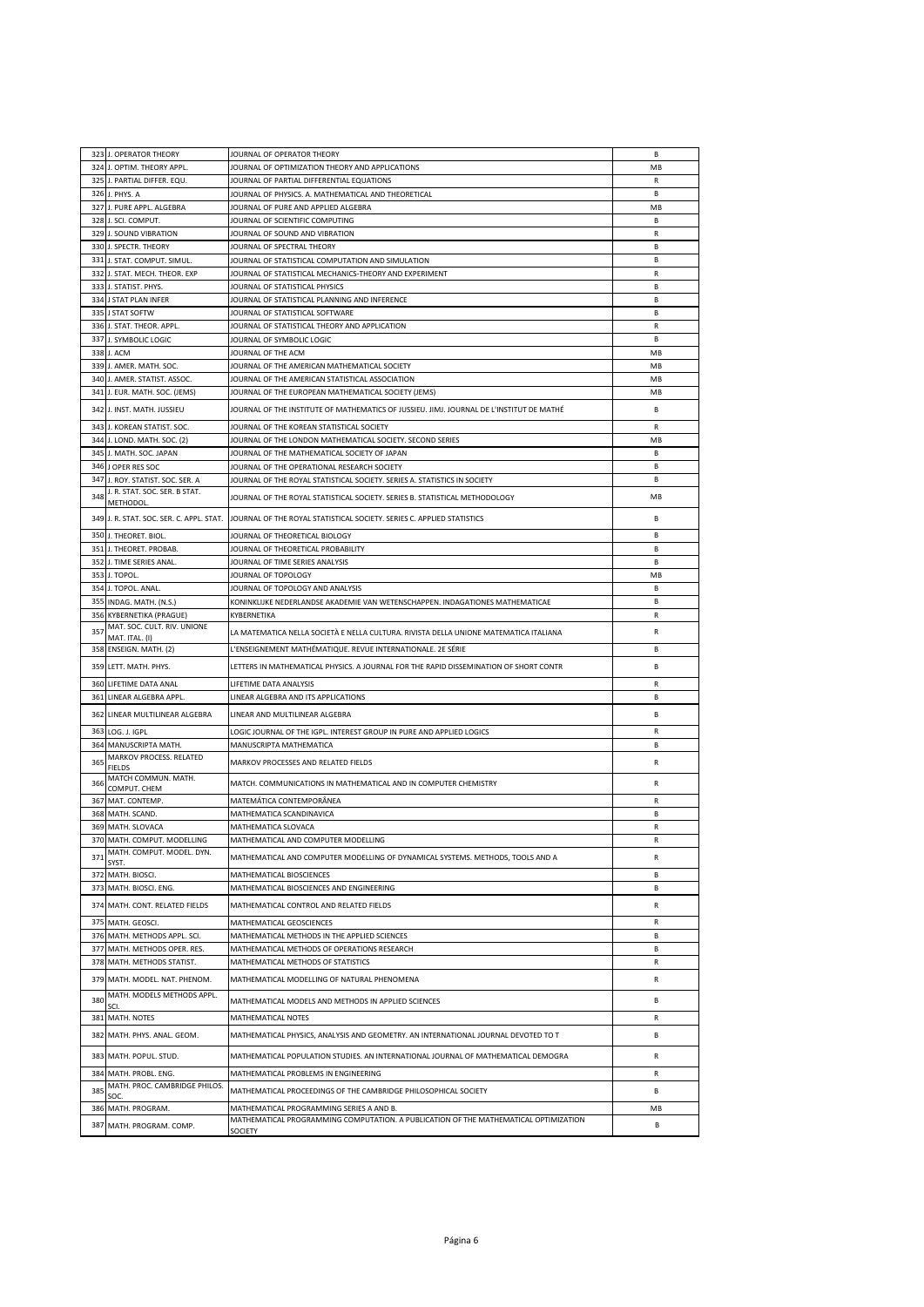|     | 323 J. OPERATOR THEORY                         | JOURNAL OF OPERATOR THEORY                                                                                                       | B              |
|-----|------------------------------------------------|----------------------------------------------------------------------------------------------------------------------------------|----------------|
|     | 324 J. OPTIM. THEORY APPL.                     | JOURNAL OF OPTIMIZATION THEORY AND APPLICATIONS                                                                                  | MB             |
|     | 325 J. PARTIAL DIFFER. EQU.                    | JOURNAL OF PARTIAL DIFFERENTIAL EQUATIONS                                                                                        | R              |
|     | 326 J. PHYS. A                                 | JOURNAL OF PHYSICS. A. MATHEMATICAL AND THEORETICAL                                                                              | B              |
|     | 327 J. PURE APPL. ALGEBRA                      | JOURNAL OF PURE AND APPLIED ALGEBRA                                                                                              | MB             |
|     | 328 J. SCI. COMPUT.                            | JOURNAL OF SCIENTIFIC COMPUTING                                                                                                  | R.             |
|     | 329 J. SOUND VIBRATION                         | JOURNAL OF SOUND AND VIBRATION                                                                                                   | R              |
|     | 330 J. SPECTR. THEORY                          | JOURNAL OF SPECTRAL THEORY                                                                                                       | В              |
|     | 331 J. STAT. COMPUT. SIMUL.                    | JOURNAL OF STATISTICAL COMPUTATION AND SIMULATION                                                                                | <b>B</b>       |
|     | 332 J. STAT. MECH. THEOR. EXP                  | JOURNAL OF STATISTICAL MECHANICS-THEORY AND EXPERIMENT                                                                           | R              |
|     | 333 J. STATIST. PHYS.                          | JOURNAL OF STATISTICAL PHYSICS                                                                                                   | <b>B</b>       |
|     | 334 J STAT PLAN INFER                          | JOURNAL OF STATISTICAL PLANNING AND INFERENCE                                                                                    | R.             |
|     | 335 J STAT SOFTW                               | JOURNAL OF STATISTICAL SOFTWARE                                                                                                  | B              |
|     | 336 J. STAT, THEOR, APPL.                      |                                                                                                                                  | R              |
| 337 |                                                | JOURNAL OF STATISTICAL THEORY AND APPLICATION                                                                                    | <b>B</b>       |
|     | J. SYMBOLIC LOGIC                              | JOURNAL OF SYMBOLIC LOGIC                                                                                                        |                |
|     | 338 J. ACM                                     | JOURNAL OF THE ACM                                                                                                               | MB             |
|     | 339 J. AMER. MATH. SOC.                        | JOURNAL OF THE AMERICAN MATHEMATICAL SOCIETY                                                                                     | MB             |
|     | 340 J. AMER. STATIST. ASSOC.                   | JOURNAL OF THE AMERICAN STATISTICAL ASSOCIATION                                                                                  | MB             |
|     | 341 J. EUR. MATH. SOC. (JEMS)                  | JOURNAL OF THE EUROPEAN MATHEMATICAL SOCIETY (JEMS)                                                                              | MB             |
|     | 342 J. INST. MATH. JUSSIEU                     | JOURNAL OF THE INSTITUTE OF MATHEMATICS OF JUSSIEU. JIMJ. JOURNAL DE L'INSTITUT DE MATHÉ                                         | B              |
|     | 343 J. KOREAN STATIST. SOC.                    | JOURNAL OF THE KOREAN STATISTICAL SOCIETY                                                                                        | R              |
|     | 344 J. LOND. MATH. SOC. (2)                    | JOURNAL OF THE LONDON MATHEMATICAL SOCIETY. SECOND SERIES                                                                        | MB             |
|     | 345 J. MATH. SOC. JAPAN                        | JOURNAL OF THE MATHEMATICAL SOCIETY OF JAPAN                                                                                     | R.             |
|     | 346 J OPER RES SOC                             | JOURNAL OF THE OPERATIONAL RESEARCH SOCIETY                                                                                      | В              |
|     | 347 J. ROY. STATIST. SOC. SER. A               | JOURNAL OF THE ROYAL STATISTICAL SOCIETY. SERIES A. STATISTICS IN SOCIETY                                                        | В              |
| 348 | J. R. STAT. SOC. SER. B STAT.                  | JOURNAL OF THE ROYAL STATISTICAL SOCIETY. SERIES B. STATISTICAL METHODOLOGY                                                      | MB             |
|     | METHODOL                                       |                                                                                                                                  |                |
|     |                                                | 349 J. R. STAT. SOC. SER. C. APPL. STAT. JOURNAL OF THE ROYAL STATISTICAL SOCIETY. SERIES C. APPLIED STATISTICS                  | <b>B</b>       |
|     | 350 J. THEORET. BIOL.                          | JOURNAL OF THEORETICAL BIOLOGY                                                                                                   | В              |
|     | 351 J. THEORET. PROBAB.                        | JOURNAL OF THEORETICAL PROBABILITY                                                                                               | <b>B</b>       |
|     | 352 J. TIME SERIES ANAL.                       | JOURNAL OF TIME SERIES ANALYSIS                                                                                                  | В              |
|     | 353 J. TOPOL.                                  | JOURNAL OF TOPOLOGY                                                                                                              | MB             |
|     | 354 J. TOPOL. ANAL.                            | JOURNAL OF TOPOLOGY AND ANALYSIS                                                                                                 | R.             |
|     |                                                | KONINKLIJKE NEDERLANDSE AKADEMIE VAN WETENSCHAPPEN. INDAGATIONES MATHEMATICAE                                                    | <b>B</b>       |
|     | 355 INDAG. MATH. (N.S.)                        |                                                                                                                                  |                |
|     | 356 KYBERNETIKA (PRAGUE)                       | KYBERNETIKA                                                                                                                      | R              |
| 357 | MAT. SOC. CULT. RIV. UNIONE<br>MAT. ITAL. (I)  | LA MATEMATICA NELLA SOCIETÀ E NELLA CULTURA. RIVISTA DELLA UNIONE MATEMATICA ITALIANA                                            | R              |
|     |                                                |                                                                                                                                  |                |
|     |                                                |                                                                                                                                  | B              |
|     | 358 ENSEIGN. MATH. (2)                         | L'ENSEIGNEMENT MATHÉMATIQUE. REVUE INTERNATIONALE. 2E SÉRIE                                                                      |                |
|     | 359 LETT. MATH. PHYS.                          | LETTERS IN MATHEMATICAL PHYSICS. A JOURNAL FOR THE RAPID DISSEMINATION OF SHORT CONTR                                            | В              |
|     | 360 LIFETIME DATA ANAL                         | LIFETIME DATA ANALYSIS                                                                                                           | R              |
|     | 361 LINEAR ALGEBRA APPL.                       | LINEAR ALGEBRA AND ITS APPLICATIONS                                                                                              | В              |
|     | 362 LINEAR MULTILINEAR ALGEBRA                 | LINEAR AND MULTILINEAR ALGEBRA                                                                                                   | B              |
|     |                                                |                                                                                                                                  |                |
|     | 363 LOG. J. IGPL                               | LOGIC JOURNAL OF THE IGPL. INTEREST GROUP IN PURE AND APPLIED LOGICS                                                             | R              |
|     | 364 MANUSCRIPTA MATH.                          | MANUSCRIPTA MATHEMATICA                                                                                                          | <b>B</b>       |
| 365 | MARKOV PROCESS. RELATED                        | MARKOV PROCESSES AND RELATED FIELDS                                                                                              | R              |
|     | <b>FIELDS</b><br>MATCH COMMUN. MATH.           |                                                                                                                                  |                |
| 366 | COMPUT. CHEM                                   | MATCH. COMMUNICATIONS IN MATHEMATICAL AND IN COMPUTER CHEMISTRY                                                                  | R              |
|     | 367 MAT. CONTEMP.                              | MATEMÁTICA CONTEMPORÂNEA                                                                                                         | $\mathsf{R}$   |
|     | 368 MATH. SCAND.                               | MATHEMATICA SCANDINAVICA                                                                                                         | <b>B</b>       |
|     | 369 MATH. SLOVACA                              | MATHEMATICA SLOVACA                                                                                                              | R              |
|     | 370 MATH. COMPUT. MODELLING                    | MATHEMATICAL AND COMPUTER MODELLING                                                                                              | $\mathsf{R}$   |
| 371 | MATH. COMPUT. MODEL. DYN.                      | MATHEMATICAL AND COMPUTER MODELLING OF DYNAMICAL SYSTEMS. METHODS, TOOLS AND A                                                   | R              |
|     | SYST.                                          |                                                                                                                                  | R.             |
|     | 372 MATH. BIOSCI.                              | MATHEMATICAL BIOSCIENCES                                                                                                         |                |
|     | 373 MATH. BIOSCI. ENG.                         | MATHEMATICAL BIOSCIENCES AND ENGINEERING                                                                                         | В              |
|     | 374 MATH. CONT. RELATED FIELDS                 | MATHEMATICAL CONTROL AND RELATED FIELDS                                                                                          | R              |
|     | 375 MATH. GEOSCI.                              | MATHEMATICAL GEOSCIENCES                                                                                                         | R              |
| 376 | MATH. METHODS APPL. SCI.                       | MATHEMATICAL METHODS IN THE APPLIED SCIENCES                                                                                     | B              |
| 377 | MATH. METHODS OPER. RES.                       | MATHEMATICAL METHODS OF OPERATIONS RESEARCH                                                                                      | <b>B</b>       |
|     | 378 MATH. METHODS STATIST.                     | MATHEMATICAL METHODS OF STATISTICS                                                                                               | R              |
|     | 379 MATH. MODEL. NAT. PHENOM.                  | MATHEMATICAL MODELLING OF NATURAL PHENOMENA                                                                                      | R              |
|     | MATH. MODELS METHODS APPL.                     |                                                                                                                                  |                |
| 380 | SCI.                                           | MATHEMATICAL MODELS AND METHODS IN APPLIED SCIENCES                                                                              | В              |
| 381 | MATH. NOTES                                    | MATHEMATICAL NOTES                                                                                                               | R              |
| 382 | MATH. PHYS. ANAL. GEOM.                        | MATHEMATICAL PHYSICS, ANALYSIS AND GEOMETRY. AN INTERNATIONAL JOURNAL DEVOTED TO T                                               | В              |
|     |                                                |                                                                                                                                  |                |
|     | 383 MATH. POPUL. STUD.                         | MATHEMATICAL POPULATION STUDIES. AN INTERNATIONAL JOURNAL OF MATHEMATICAL DEMOGRA                                                | R              |
|     | 384 MATH. PROBL. ENG.                          | MATHEMATICAL PROBLEMS IN ENGINEERING                                                                                             | R              |
| 385 | MATH. PROC. CAMBRIDGE PHILOS.                  | MATHEMATICAL PROCEEDINGS OF THE CAMBRIDGE PHILOSOPHICAL SOCIETY                                                                  | В              |
|     | SOC.                                           |                                                                                                                                  |                |
|     | 386 MATH. PROGRAM.<br>387 MATH. PROGRAM. COMP. | MATHEMATICAL PROGRAMMING SERIES A AND B.<br>MATHEMATICAL PROGRAMMING COMPUTATION. A PUBLICATION OF THE MATHEMATICAL OPTIMIZATION | <b>MB</b><br>В |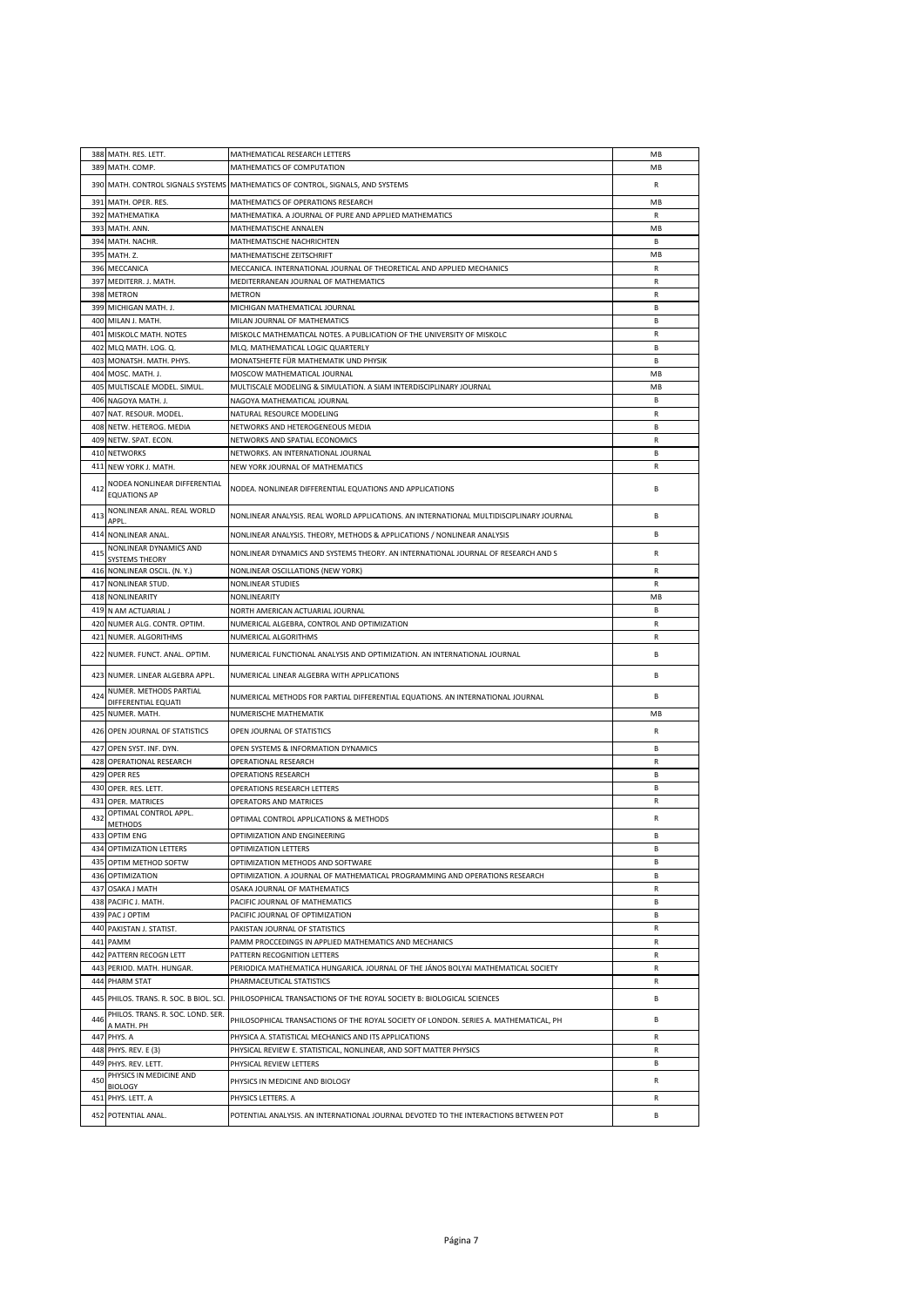|            | 388 MATH. RES. LETT.                                | MATHEMATICAL RESEARCH LETTERS                                                                                  | MB                |
|------------|-----------------------------------------------------|----------------------------------------------------------------------------------------------------------------|-------------------|
| 389        | MATH. COMP.                                         | MATHEMATICS OF COMPUTATION                                                                                     | MB                |
|            |                                                     | 390 MATH. CONTROL SIGNALS SYSTEMS MATHEMATICS OF CONTROL, SIGNALS, AND SYSTEMS                                 | R                 |
| 391        | MATH. OPER. RES.                                    | MATHEMATICS OF OPERATIONS RESEARCH                                                                             | MB                |
|            | 392 MATHEMATIKA                                     | MATHEMATIKA. A JOURNAL OF PURE AND APPLIED MATHEMATICS                                                         | R                 |
| 393        | MATH. ANN.                                          | MATHEMATISCHE ANNALEN                                                                                          | MB                |
|            | 394 MATH, NACHR.                                    | MATHEMATISCHE NACHRICHTEN                                                                                      | B                 |
|            | 395 MATH. Z.                                        | MATHEMATISCHE ZEITSCHRIFT                                                                                      | MB                |
|            | 396 MECCANICA                                       | MECCANICA. INTERNATIONAL JOURNAL OF THEORETICAL AND APPLIED MECHANICS                                          | R                 |
| 397        | MEDITERR. J. MATH.                                  | MEDITERRANEAN JOURNAL OF MATHEMATICS                                                                           | R                 |
|            | 398 METRON                                          | <b>METRON</b>                                                                                                  | R                 |
|            | 399 MICHIGAN MATH. J.                               | MICHIGAN MATHEMATICAL JOURNAL                                                                                  | R.                |
| 400        | MILAN J. MATH.                                      | MILAN JOURNAL OF MATHEMATICS                                                                                   | В                 |
|            | 401 MISKOLC MATH. NOTES                             | MISKOLC MATHEMATICAL NOTES. A PUBLICATION OF THE UNIVERSITY OF MISKOLC                                         | R                 |
| 402        | MLQ MATH. LOG. Q.                                   | MLQ. MATHEMATICAL LOGIC QUARTERLY                                                                              | R.                |
|            | 403 MONATSH. MATH. PHYS.                            | MONATSHEFTE FÜR MATHEMATIK UND PHYSIK                                                                          | <b>B</b>          |
|            | 404 MOSC. MATH. J.                                  | MOSCOW MATHEMATICAL JOURNAL                                                                                    | MB                |
| 405        | MULTISCALE MODEL. SIMUL.                            | MULTISCALE MODELING & SIMULATION. A SIAM INTERDISCIPLINARY JOURNAL                                             | MB                |
| 406        | NAGOYA MATH. J.                                     | NAGOYA MATHEMATICAL JOURNAL                                                                                    | R.                |
| 407        | NAT. RESOUR. MODEL.                                 | NATURAL RESOURCE MODELING                                                                                      | R                 |
|            | 408 NETW. HETEROG. MEDIA                            | NETWORKS AND HETEROGENEOUS MEDIA                                                                               | R.                |
| 409        | NETW. SPAT. ECON.                                   | NETWORKS AND SPATIAL ECONOMICS                                                                                 | R                 |
|            | 410 NETWORKS                                        | NETWORKS. AN INTERNATIONAL JOURNAL                                                                             | B                 |
| 411        | NEW YORK J. MATH.                                   | NEW YORK JOURNAL OF MATHEMATICS                                                                                | R                 |
| 412        | NODEA NONLINEAR DIFFERENTIAL<br><b>EQUATIONS AP</b> | NODEA. NONLINEAR DIFFERENTIAL EQUATIONS AND APPLICATIONS                                                       | В                 |
| 413        | NONLINEAR ANAL. REAL WORLD<br>APPL.                 | NONLINEAR ANALYSIS. REAL WORLD APPLICATIONS. AN INTERNATIONAL MULTIDISCIPLINARY JOURNAL                        | В                 |
|            | 414 NONLINEAR ANAL.                                 | NONLINEAR ANALYSIS. THEORY, METHODS & APPLICATIONS / NONLINEAR ANALYSIS                                        | B                 |
|            | NONLINEAR DYNAMICS AND                              |                                                                                                                |                   |
| 415        | SYSTEMS THEORY                                      | NONLINEAR DYNAMICS AND SYSTEMS THEORY. AN INTERNATIONAL JOURNAL OF RESEARCH AND S                              | R                 |
|            | 416 NONLINEAR OSCIL. (N.Y.)                         | NONLINEAR OSCILLATIONS (NEW YORK)                                                                              | R                 |
| 417        | NONLINEAR STUD.                                     | NONLINEAR STUDIES                                                                                              | R                 |
|            | 418 NONLINEARITY                                    | NONLINEARITY                                                                                                   | MB                |
|            | 419 N AM ACTUARIAL J                                | NORTH AMERICAN ACTUARIAL JOURNAL                                                                               | R.                |
| 420        | NUMER ALG. CONTR. OPTIM.                            | NUMERICAL ALGEBRA, CONTROL AND OPTIMIZATION                                                                    | R                 |
| 421        | NUMER. ALGORITHMS                                   | NUMERICAL ALGORITHMS                                                                                           | R                 |
|            | 422 NUMER. FUNCT. ANAL. OPTIM.                      | NUMERICAL FUNCTIONAL ANALYSIS AND OPTIMIZATION. AN INTERNATIONAL JOURNAL                                       | В                 |
|            | 423 NUMER. LINEAR ALGEBRA APPL.                     | NUMERICAL LINEAR ALGEBRA WITH APPLICATIONS                                                                     | R.                |
| 424        | NUMER. METHODS PARTIAL<br>DIFFERENTIAL EQUATI       | NUMERICAL METHODS FOR PARTIAL DIFFERENTIAL EQUATIONS. AN INTERNATIONAL JOURNAL                                 | В                 |
|            | 425 NUMER. MATH.                                    | NUMERISCHE MATHEMATIK                                                                                          | MB                |
|            | 426 OPEN JOURNAL OF STATISTICS                      | OPEN JOURNAL OF STATISTICS                                                                                     | R                 |
|            | 427 OPEN SYST. INF. DYN.                            | OPEN SYSTEMS & INFORMATION DYNAMICS                                                                            | B                 |
|            | 428 OPERATIONAL RESEARCH                            | OPERATIONAL RESEARCH                                                                                           | R                 |
|            | 429 OPER RES                                        | <b>OPERATIONS RESEARCH</b>                                                                                     | В                 |
|            | 430 OPER. RES. LETT.                                | <b>OPERATIONS RESEARCH LETTERS</b>                                                                             | R.                |
|            | 431 OPER. MATRICES<br>OPTIMAL CONTROL APPL.         | OPERATORS AND MATRICES                                                                                         | R                 |
| 432        | <b>METHODS</b>                                      | OPTIMAL CONTROL APPLICATIONS & METHODS                                                                         | R                 |
|            | 433 OPTIM ENG                                       | OPTIMIZATION AND ENGINEERING                                                                                   | <b>B</b>          |
|            | 434 OPTIMIZATION LETTERS                            | OPTIMIZATION LETTERS                                                                                           | В                 |
| 435        | OPTIM METHOD SOFTW                                  | OPTIMIZATION METHODS AND SOFTWARE                                                                              | B                 |
| 436        | <b>OPTIMIZATION</b>                                 | OPTIMIZATION. A JOURNAL OF MATHEMATICAL PROGRAMMING AND OPERATIONS RESEARCH                                    | R                 |
| 437        | <b>OSAKA J MATH</b>                                 | OSAKA JOURNAL OF MATHEMATICS                                                                                   | R<br>R.           |
|            | 438 PACIFIC J. MATH.                                | PACIFIC JOURNAL OF MATHEMATICS                                                                                 |                   |
| 439        | PAC J OPTIM                                         | PACIFIC JOURNAL OF OPTIMIZATION                                                                                | В                 |
| 441        | 440 PAKISTAN J. STATIST.                            | PAKISTAN JOURNAL OF STATISTICS                                                                                 | R<br>$\mathsf{R}$ |
| 442        | PAMM<br>PATTERN RECOGN LETT                         | PAMM PROCCEDINGS IN APPLIED MATHEMATICS AND MECHANICS<br>PATTERN RECOGNITION LETTERS                           | R                 |
|            |                                                     |                                                                                                                |                   |
| 443<br>444 | PERIOD. MATH. HUNGAR.<br>PHARM STAT                 | PERIODICA MATHEMATICA HUNGARICA. JOURNAL OF THE JÁNOS BOLYAI MATHEMATICAL SOCIETY<br>PHARMACEUTICAL STATISTICS | R<br>R            |
|            |                                                     | 445 PHILOS. TRANS. R. SOC. B BIOL. SCI. PHILOSOPHICAL TRANSACTIONS OF THE ROYAL SOCIETY B: BIOLOGICAL SCIENCES | В                 |
| 446        | PHILOS. TRANS. R. SOC. LOND. SER.                   | PHILOSOPHICAL TRANSACTIONS OF THE ROYAL SOCIETY OF LONDON. SERIES A. MATHEMATICAL, PH                          | R.                |
| 447        | A MATH. PH<br>PHYS. A                               | PHYSICA A. STATISTICAL MECHANICS AND ITS APPLICATIONS                                                          | ${\sf R}$         |
|            | 448 PHYS. REV. E (3)                                | PHYSICAL REVIEW E. STATISTICAL, NONLINEAR, AND SOFT MATTER PHYSICS                                             | R                 |
|            | 449 PHYS. REV. LETT.                                | PHYSICAL REVIEW LETTERS                                                                                        | В                 |
| 450        | PHYSICS IN MEDICINE AND                             | PHYSICS IN MEDICINE AND BIOLOGY                                                                                | R                 |
| 451        | <b>BIOLOGY</b><br>PHYS. LETT. A                     |                                                                                                                | R                 |
|            |                                                     | PHYSICS LETTERS. A                                                                                             |                   |
|            | 452 POTENTIAL ANAL.                                 | POTENTIAL ANALYSIS. AN INTERNATIONAL JOURNAL DEVOTED TO THE INTERACTIONS BETWEEN POT                           | В                 |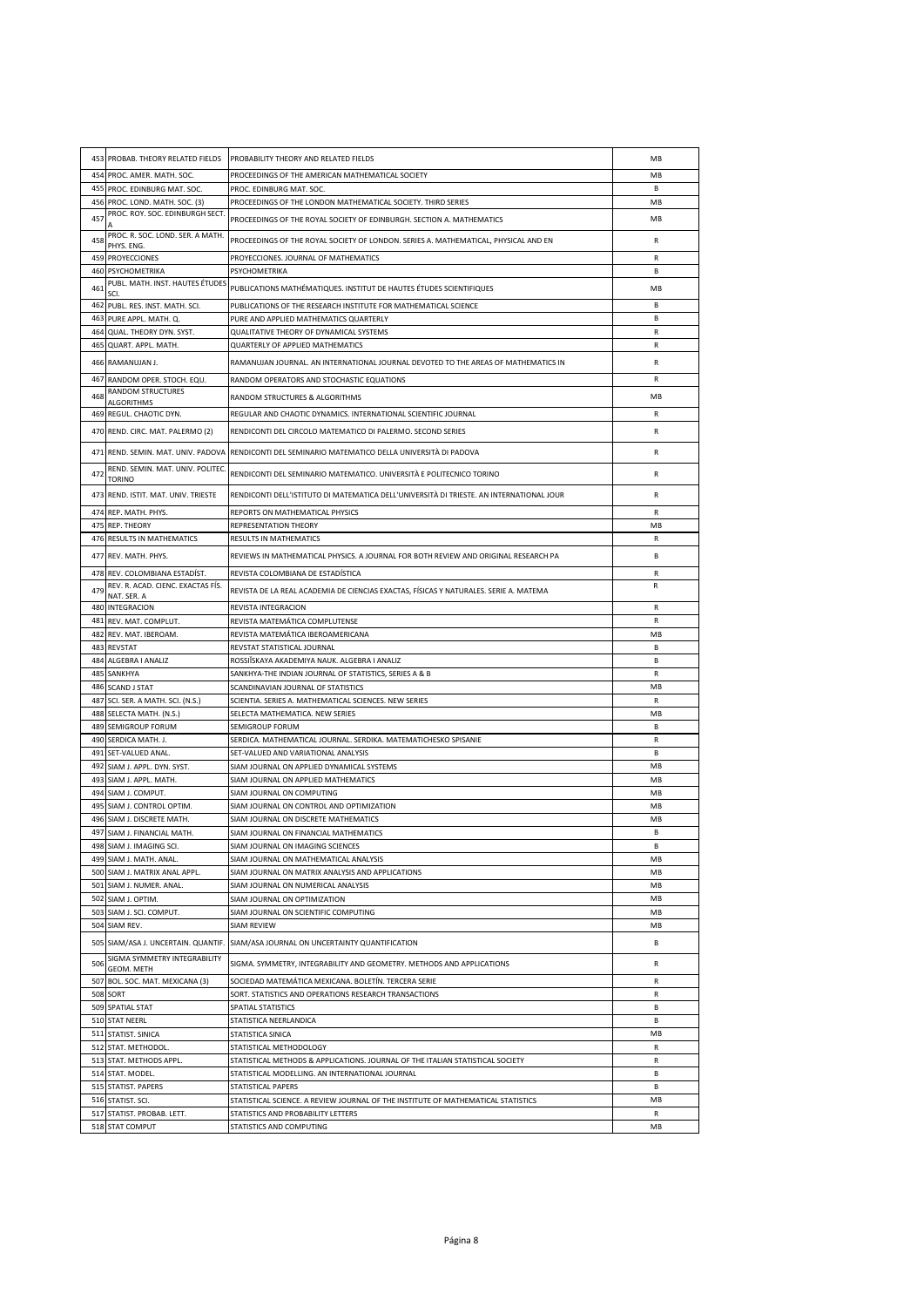|            | 453 PROBAB. THEORY RELATED FIELDS                          | PROBABILITY THEORY AND RELATED FIELDS                                                                     | MB             |
|------------|------------------------------------------------------------|-----------------------------------------------------------------------------------------------------------|----------------|
|            | 454 PROC. AMER. MATH. SOC.                                 | PROCEEDINGS OF THE AMERICAN MATHEMATICAL SOCIETY                                                          | MB             |
|            | 455 PROC. EDINBURG MAT. SOC.                               | PROC. EDINBURG MAT. SOC.                                                                                  | B.             |
|            | 456 PROC. LOND. MATH. SOC. (3)                             | PROCEEDINGS OF THE LONDON MATHEMATICAL SOCIETY. THIRD SERIES                                              | MB             |
| 457        | PROC. ROY. SOC. EDINBURGH SECT.                            | PROCEEDINGS OF THE ROYAL SOCIETY OF EDINBURGH. SECTION A. MATHEMATICS                                     | MB             |
| 458        | PROC. R. SOC. LOND. SER. A MATH.<br>PHYS. ENG.             | PROCEEDINGS OF THE ROYAL SOCIETY OF LONDON. SERIES A. MATHEMATICAL, PHYSICAL AND EN                       | R              |
|            | 459 PROYECCIONES                                           | PROYECCIONES. JOURNAL OF MATHEMATICS                                                                      | $\mathsf{R}$   |
| 460        | PSYCHOMETRIKA<br>PUBL. MATH. INST. HAUTES ÉTUDES           | PSYCHOMETRIKA                                                                                             | В              |
| 461        |                                                            | PUBLICATIONS MATHÉMATIQUES. INSTITUT DE HAUTES ÉTUDES SCIENTIFIQUES                                       | MB             |
|            | 462 PUBL. RES. INST. MATH. SCI.<br>463 PURE APPL. MATH. Q. | PUBLICATIONS OF THE RESEARCH INSTITUTE FOR MATHEMATICAL SCIENCE<br>PURE AND APPLIED MATHEMATICS QUARTERLY | B<br>R.        |
|            | 464 QUAL, THEORY DYN, SYST.                                | QUALITATIVE THEORY OF DYNAMICAL SYSTEMS                                                                   | R              |
| 465        | QUART. APPL. MATH.                                         | QUARTERLY OF APPLIED MATHEMATICS                                                                          | R              |
|            | 466 RAMANUJAN J.                                           | RAMANUJAN JOURNAL. AN INTERNATIONAL JOURNAL DEVOTED TO THE AREAS OF MATHEMATICS IN                        | R              |
| 467        | RANDOM OPER. STOCH. EQU.                                   | RANDOM OPERATORS AND STOCHASTIC EQUATIONS                                                                 | R              |
| 468        | RANDOM STRUCTURES                                          | RANDOM STRUCTURES & ALGORITHMS                                                                            | MB             |
|            | <b>ALGORITHMS</b><br>469 REGUL. CHAOTIC DYN.               | REGULAR AND CHAOTIC DYNAMICS. INTERNATIONAL SCIENTIFIC JOURNAL                                            | R              |
|            | 470 REND. CIRC. MAT. PALERMO (2)                           | RENDICONTI DEL CIRCOLO MATEMATICO DI PALERMO. SECOND SERIES                                               | R              |
|            | 471 REND. SEMIN. MAT. UNIV. PADOVA                         | RENDICONTI DEL SEMINARIO MATEMATICO DELLA UNIVERSITÀ DI PADOVA                                            | R              |
| 472        | REND. SEMIN. MAT. UNIV. POLITEC.<br><b>TORINO</b>          | RENDICONTI DEL SEMINARIO MATEMATICO. UNIVERSITÀ E POLITECNICO TORINO                                      | R              |
|            | 473 REND. ISTIT. MAT. UNIV. TRIESTE                        | RENDICONTI DELL'ISTITUTO DI MATEMATICA DELL'UNIVERSITÀ DI TRIESTE. AN INTERNATIONAL JOUR                  | R              |
|            | 474 REP. MATH. PHYS.                                       | REPORTS ON MATHEMATICAL PHYSICS                                                                           | R              |
|            | 475 REP. THEORY                                            | REPRESENTATION THEORY                                                                                     | MB             |
|            | <b>476 RESULTS IN MATHEMATICS</b>                          | <b>RESULTS IN MATHEMATICS</b>                                                                             | R              |
|            | 477 REV. MATH. PHYS.                                       | REVIEWS IN MATHEMATICAL PHYSICS. A JOURNAL FOR BOTH REVIEW AND ORIGINAL RESEARCH PA                       | B              |
|            | 478 REV. COLOMBIANA ESTADÍST.                              | REVISTA COLOMBIANA DE ESTADÍSTICA                                                                         | R              |
| 479        | REV. R. ACAD. CIENC. EXACTAS FÍS.<br>NAT. SER. A           | REVISTA DE LA REAL ACADEMIA DE CIENCIAS EXACTAS, FÍSICAS Y NATURALES. SERIE A. MATEMA                     | R              |
|            | 480 INTEGRACION                                            | <b>REVISTA INTEGRACION</b>                                                                                | R              |
|            | 481 REV. MAT. COMPLUT.                                     | REVISTA MATEMÁTICA COMPLUTENSE                                                                            | $\mathsf{R}$   |
| 482        | REV. MAT. IBEROAM.                                         | REVISTA MATEMÁTICA IBEROAMERICANA                                                                         | MB             |
|            | 483 REVSTAT                                                | REVSTAT STATISTICAL JOURNAL                                                                               | В              |
| 484        | ALGEBRA I ANALIZ                                           | ROSSIÏSKAYA AKADEMIYA NAUK. ALGEBRA I ANALIZ                                                              | <b>B</b>       |
| 485        | SANKHYA<br>486 SCAND J STAT                                | SANKHYA-THE INDIAN JOURNAL OF STATISTICS, SERIES A & B<br>SCANDINAVIAN JOURNAL OF STATISTICS              | R<br>MB        |
|            | 487 SCI. SER. A MATH. SCI. (N.S.)                          | SCIENTIA. SERIES A. MATHEMATICAL SCIENCES. NEW SERIES                                                     | $\mathsf{R}$   |
| 488        | SELECTA MATH. (N.S.)                                       | SELECTA MATHEMATICA. NEW SERIES                                                                           | MB             |
|            | 489 SEMIGROUP FORUM                                        | SEMIGROUP FORUM                                                                                           | В              |
| 490        | SERDICA MATH. J.                                           | SERDICA. MATHEMATICAL JOURNAL. SERDIKA. MATEMATICHESKO SPISANIE                                           | R              |
| 491        | SET-VALUED ANAL.                                           | SET-VALUED AND VARIATIONAL ANALYSIS                                                                       | <b>B</b>       |
|            | 492 SIAM J. APPL. DYN. SYST.                               | SIAM JOURNAL ON APPLIED DYNAMICAL SYSTEMS                                                                 | МB             |
|            | 493 SIAM J. APPL. MATH.                                    | SIAM JOURNAL ON APPLIED MATHEMATICS                                                                       | MB             |
| 494<br>495 | SIAM J. COMPUT.<br>SIAM J. CONTROL OPTIM.                  | SIAM JOURNAL ON COMPUTING<br>SIAM JOURNAL ON CONTROL AND OPTIMIZATION                                     | MB<br>MB       |
| 496        | SIAM J. DISCRETE MATH.                                     | SIAM JOURNAL ON DISCRETE MATHEMATICS                                                                      | MB             |
| 497        | SIAM J. FINANCIAL MATH.                                    | SIAM JOURNAL ON FINANCIAL MATHEMATICS                                                                     | B              |
|            | 498 SIAM J. IMAGING SCI.                                   | SIAM JOURNAL ON IMAGING SCIENCES                                                                          | B              |
|            | 499 SIAM J. MATH. ANAL.                                    | SIAM JOURNAL ON MATHEMATICAL ANALYSIS                                                                     | MB             |
| 500        | SIAM J. MATRIX ANAL APPL.                                  | SIAM JOURNAL ON MATRIX ANALYSIS AND APPLICATIONS                                                          | MB             |
|            | 501 SIAM J. NUMER. ANAL.                                   | SIAM JOURNAL ON NUMERICAL ANALYSIS                                                                        | MB             |
|            | 502 SIAM J. OPTIM.                                         | SIAM JOURNAL ON OPTIMIZATION                                                                              | MB             |
|            | 503 SIAM J. SCI. COMPUT.<br>504 SIAM REV.                  | SIAM JOURNAL ON SCIENTIFIC COMPUTING<br>SIAM REVIEW                                                       | MB<br>MB       |
|            | 505 SIAM/ASA J. UNCERTAIN. QUANTIF.                        | SIAM/ASA JOURNAL ON UNCERTAINTY QUANTIFICATION                                                            | В              |
| 506        | SIGMA SYMMETRY INTEGRABILITY<br>GEOM. METH                 | SIGMA. SYMMETRY, INTEGRABILITY AND GEOMETRY. METHODS AND APPLICATIONS                                     | R              |
| 507        | BOL. SOC. MAT. MEXICANA (3)                                | SOCIEDAD MATEMÁTICA MEXICANA. BOLETÍN. TERCERA SERIE                                                      | R              |
|            | 508 SORT                                                   | SORT. STATISTICS AND OPERATIONS RESEARCH TRANSACTIONS                                                     | R              |
|            | 509 SPATIAL STAT                                           | SPATIAL STATISTICS                                                                                        | В              |
| 510        | <b>STAT NEERL</b>                                          | STATISTICA NEERLANDICA                                                                                    | В              |
|            | 511 STATIST. SINICA                                        | STATISTICA SINICA                                                                                         | MB             |
|            | 512 STAT. METHODOL.<br>513 STAT. METHODS APPL.             | STATISTICAL METHODOLOGY<br>STATISTICAL METHODS & APPLICATIONS. JOURNAL OF THE ITALIAN STATISTICAL SOCIETY | ${\sf R}$<br>R |
|            | 514 STAT. MODEL.                                           | STATISTICAL MODELLING. AN INTERNATIONAL JOURNAL                                                           | В              |
|            | 515 STATIST. PAPERS                                        | STATISTICAL PAPERS                                                                                        | R.             |
| 516        | STATIST. SCI.                                              | STATISTICAL SCIENCE. A REVIEW JOURNAL OF THE INSTITUTE OF MATHEMATICAL STATISTICS                         | MB             |
| 517        | STATIST. PROBAB. LETT.                                     | STATISTICS AND PROBABILITY LETTERS                                                                        | ${\sf R}$      |
|            | 518 STAT COMPUT                                            | STATISTICS AND COMPUTING                                                                                  | MB             |